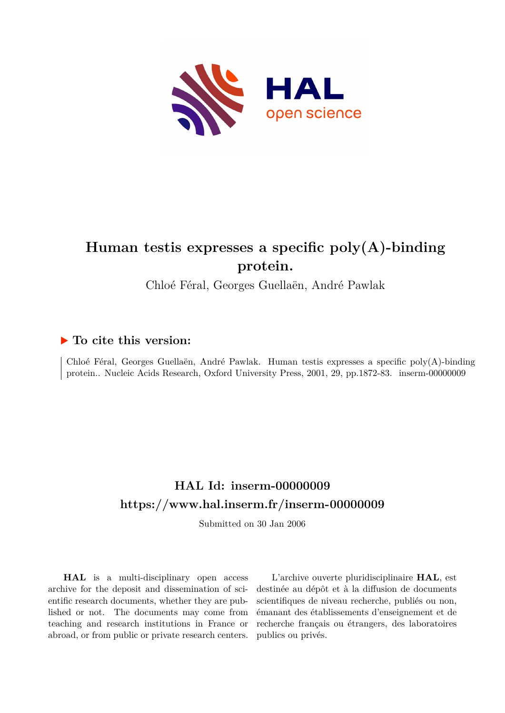

# **Human testis expresses a specific poly(A)-binding protein.**

Chloé Féral, Georges Guellaën, André Pawlak

### **To cite this version:**

Chloé Féral, Georges Guellaën, André Pawlak. Human testis expresses a specific poly(A)-binding protein.. Nucleic Acids Research, Oxford University Press, 2001, 29, pp.1872-83. inserm-00000009

## **HAL Id: inserm-00000009 <https://www.hal.inserm.fr/inserm-00000009>**

Submitted on 30 Jan 2006

**HAL** is a multi-disciplinary open access archive for the deposit and dissemination of scientific research documents, whether they are published or not. The documents may come from teaching and research institutions in France or abroad, or from public or private research centers.

L'archive ouverte pluridisciplinaire **HAL**, est destinée au dépôt et à la diffusion de documents scientifiques de niveau recherche, publiés ou non, émanant des établissements d'enseignement et de recherche français ou étrangers, des laboratoires publics ou privés.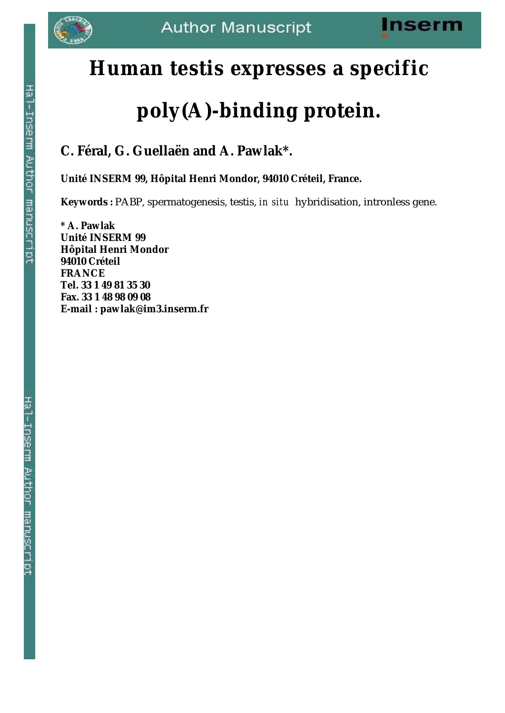

# **Human testis expresses a specific**

# **poly(A)-binding protein.**

# **C. Féral, G. Guellaën and A. Pawlak\*.**

**Unité INSERM 99, Hôpital Henri Mondor, 94010 Créteil, France.**

**Keywords :** PABP, spermatogenesis, testis, *in situ* hybridisation, intronless gene.

**\* A. Pawlak Unité INSERM 99 Hôpital Henri Mondor 94010 Créteil FRANCE Tel. 33 1 49 81 35 30 Fax. 33 1 48 98 09 08 E-mail : pawlak@im3.inserm.fr**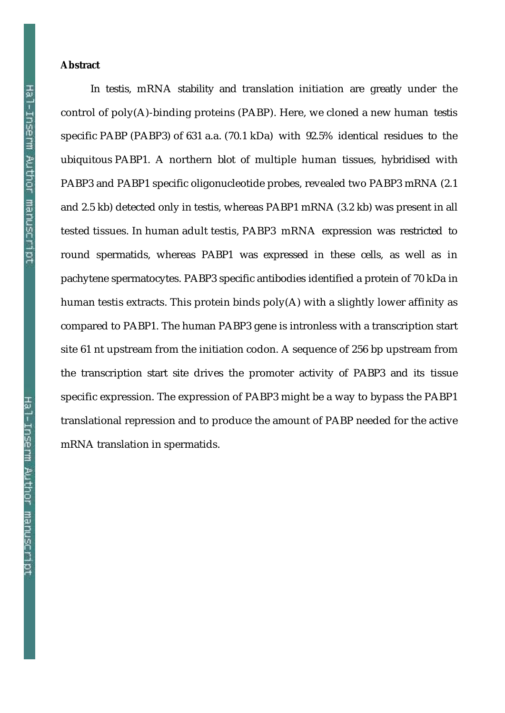#### **Abstract**

In testis, mRNA stability and translation initiation are greatly under the control of poly(A)-binding proteins (PABP). Here, we cloned a new human testis specific PABP (PABP3) of 631 a.a. (70.1 kDa) with 92.5% identical residues to the ubiquitous PABP1. A northern blot of multiple human tissues, hybridised with PABP3 and PABP1 specific oligonucleotide probes, revealed two PABP3 mRNA (2.1 and 2.5 kb) detected only in testis, whereas PABP1 mRNA (3.2 kb) was present in all tested tissues. In human adult testis, PABP3 mRNA expression was restricted to round spermatids, whereas PABP1 was expressed in these cells, as well as in pachytene spermatocytes. PABP3 specific antibodies identified a protein of 70 kDa in human testis extracts. This protein binds poly(A) with a slightly lower affinity as compared to PABP1. The human PABP3 gene is intronless with a transcription start site 61 nt upstream from the initiation codon. A sequence of 256 bp upstream from the transcription start site drives the promoter activity of PABP3 and its tissue specific expression. The expression of PABP3 might be a way to bypass the PABP1 translational repression and to produce the amount of PABP needed for the active mRNA translation in spermatids.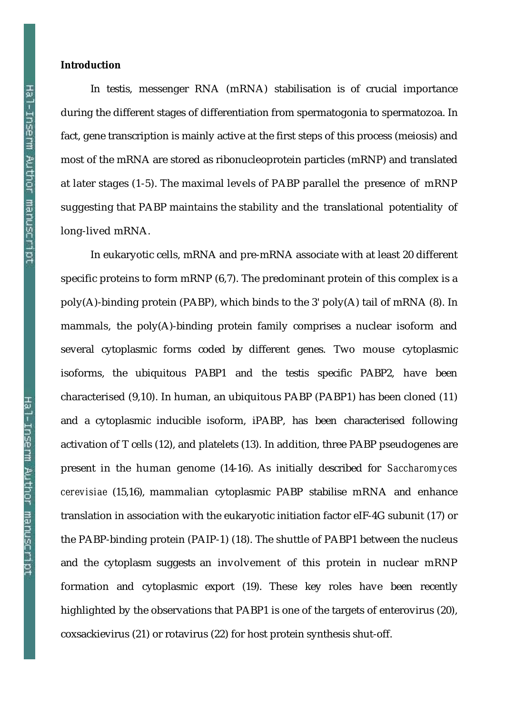#### **Introduction**

In testis, messenger RNA (mRNA) stabilisation is of crucial importance during the different stages of differentiation from spermatogonia to spermatozoa. In fact, gene transcription is mainly active at the first steps of this process (meiosis) and most of the mRNA are stored as ribonucleoprotein particles (mRNP) and translated at later stages (1-5). The maximal levels of PABP parallel the presence of mRNP suggesting that PABP maintains the stability and the translational potentiality of long-lived mRNA.

In eukaryotic cells, mRNA and pre-mRNA associate with at least 20 different specific proteins to form mRNP (6,7). The predominant protein of this complex is a poly(A)-binding protein (PABP), which binds to the 3' poly(A) tail of mRNA (8). In mammals, the poly(A)-binding protein family comprises a nuclear isoform and several cytoplasmic forms coded by different genes. Two mouse cytoplasmic isoforms, the ubiquitous PABP1 and the testis specific PABP2, have been characterised (9,10). In human, an ubiquitous PABP (PABP1) has been cloned (11) and a cytoplasmic inducible isoform, iPABP, has been characterised following activation of T cells (12), and platelets (13). In addition, three PABP pseudogenes are present in the human genome (14-16). As initially described for *Saccharomyces cerevisiae* (15,16), mammalian cytoplasmic PABP stabilise mRNA and enhance translation in association with the eukaryotic initiation factor eIF-4G subunit (17) or the PABP-binding protein (PAIP-1) (18). The shuttle of PABP1 between the nucleus and the cytoplasm suggests an involvement of this protein in nuclear mRNP formation and cytoplasmic export (19). These key roles have been recently highlighted by the observations that PABP1 is one of the targets of enterovirus (20), coxsackievirus (21) or rotavirus (22) for host protein synthesis shut-off.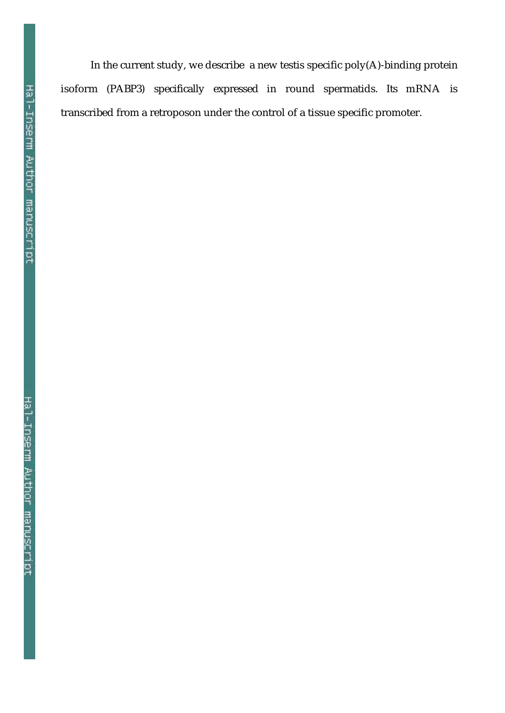In the current study, we describe a new testis specific poly(A)-binding protein isoform (PABP3) specifically expressed in round spermatids. Its mRNA is transcribed from a retroposon under the control of a tissue specific promoter.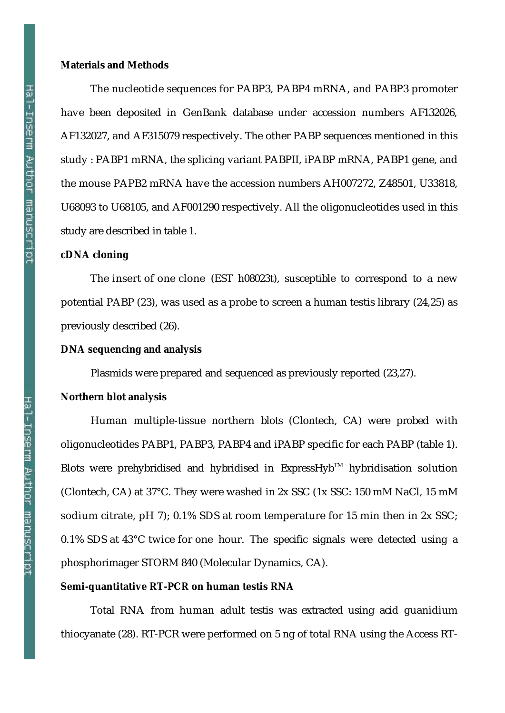#### **Materials and Methods**

The nucleotide sequences for PABP3, PABP4 mRNA, and PABP3 promoter have been deposited in GenBank database under accession numbers AF132026, AF132027, and AF315079 respectively. The other PABP sequences mentioned in this study : PABP1 mRNA, the splicing variant PABPII, iPABP mRNA, PABP1 gene, and the mouse PAPB2 mRNA have the accession numbers AH007272, Z48501, U33818, U68093 to U68105, and AF001290 respectively. All the oligonucleotides used in this study are described in table 1.

#### **cDNA cloning**

The insert of one clone (EST h08023t), susceptible to correspond to a new potential PABP (23), was used as a probe to screen a human testis library (24,25) as previously described (26).

#### **DNA sequencing and analysis**

Plasmids were prepared and sequenced as previously reported (23,27).

#### **Northern blot analysis**

Human multiple-tissue northern blots (Clontech, CA) were probed with oligonucleotides PABP1, PABP3, PABP4 and iPABP specific for each PABP (table 1). Blots were prehybridised and hybridised in  $Express H<sub>W</sub>$  hybridisation solution (Clontech, CA) at 37°C. They were washed in 2x SSC (1x SSC: 150 mM NaCl, 15 mM sodium citrate, pH 7); 0.1% SDS at room temperature for 15 min then in 2x SSC; 0.1% SDS at 43°C twice for one hour. The specific signals were detected using a phosphorimager STORM 840 (Molecular Dynamics, CA).

#### **Semi-quantitative RT-PCR on human testis RNA**

Total RNA from human adult testis was extracted using acid guanidium thiocyanate (28). RT-PCR were performed on 5 ng of total RNA using the Access RT-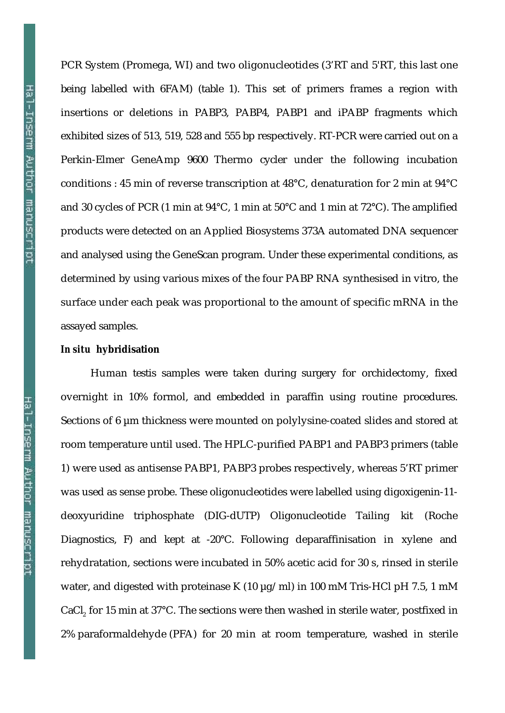PCR System (Promega, WI) and two oligonucleotides (3'RT and 5'RT, this last one being labelled with 6FAM) (table 1). This set of primers frames a region with insertions or deletions in PABP3, PABP4, PABP1 and iPABP fragments which exhibited sizes of 513, 519, 528 and 555 bp respectively. RT-PCR were carried out on a Perkin-Elmer GeneAmp 9600 Thermo cycler under the following incubation conditions : 45 min of reverse transcription at 48°C, denaturation for 2 min at 94°C and 30 cycles of PCR (1 min at 94°C, 1 min at 50°C and 1 min at 72°C). The amplified products were detected on an Applied Biosystems 373A automated DNA sequencer and analysed using the GeneScan program. Under these experimental conditions, as determined by using various mixes of the four PABP RNA synthesised in vitro, the surface under each peak was proportional to the amount of specific mRNA in the assayed samples.

#### *In situ* **hybridisation**

Human testis samples were taken during surgery for orchidectomy, fixed overnight in 10% formol, and embedded in paraffin using routine procedures. Sections of 6  $\mu$ m thickness were mounted on polylysine-coated slides and stored at room temperature until used. The HPLC-purified PABP1 and PABP3 primers (table 1) were used as antisense PABP1, PABP3 probes respectively, whereas 5'RT primer was used as sense probe. These oligonucleotides were labelled using digoxigenin-11 deoxyuridine triphosphate (DIG-dUTP) Oligonucleotide Tailing kit (Roche Diagnostics, F) and kept at -20°C. Following deparaffinisation in xylene and rehydratation, sections were incubated in 50% acetic acid for 30 s, rinsed in sterile water, and digested with proteinase K (10  $\mu$ g/ml) in 100 mM Tris-HCl pH 7.5, 1 mM CaCl, for 15 min at 37°C. The sections were then washed in sterile water, postfixed in 2% paraformaldehyde (PFA) for 20 min at room temperature, washed in sterile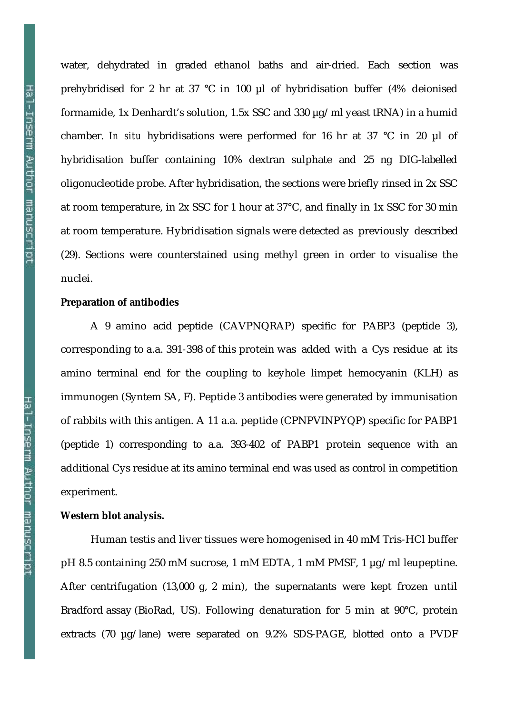water, dehydrated in graded ethanol baths and air-dried. Each section was prehybridised for 2 hr at 37 °C in 100 µl of hybridisation buffer (4% deionised formamide, 1x Denhardt's solution, 1.5x SSC and 330 µg/ml yeast tRNA) in a humid chamber. *In situ* hybridisations were performed for 16 hr at 37 °C in 20 µl of hybridisation buffer containing 10% dextran sulphate and 25 ng DIG-labelled oligonucleotide probe. After hybridisation, the sections were briefly rinsed in 2x SSC at room temperature, in 2x SSC for 1 hour at 37°C, and finally in 1x SSC for 30 min at room temperature. Hybridisation signals were detected as previously described (29). Sections were counterstained using methyl green in order to visualise the nuclei.

#### **Preparation of antibodies**

A 9 amino acid peptide (CAVPNQRAP) specific for PABP3 (peptide 3), corresponding to a.a. 391-398 of this protein was added with a Cys residue at its amino terminal end for the coupling to keyhole limpet hemocyanin (KLH) as immunogen (Syntem SA, F). Peptide 3 antibodies were generated by immunisation of rabbits with this antigen. A 11 a.a. peptide (CPNPVINPYQP) specific for PABP1 (peptide 1) corresponding to a.a. 393-402 of PABP1 protein sequence with an additional Cys residue at its amino terminal end was used as control in competition experiment.

#### **Western blot analysis.**

Human testis and liver tissues were homogenised in 40 mM Tris-HCl buffer pH 8.5 containing 250 mM sucrose, 1 mM EDTA, 1 mM PMSF, 1 µg/ml leupeptine. After centrifugation (13,000 g, 2 min), the supernatants were kept frozen until Bradford assay (BioRad, US). Following denaturation for 5 min at 90°C, protein extracts (70 µg/lane) were separated on 9.2% SDS-PAGE, blotted onto a PVDF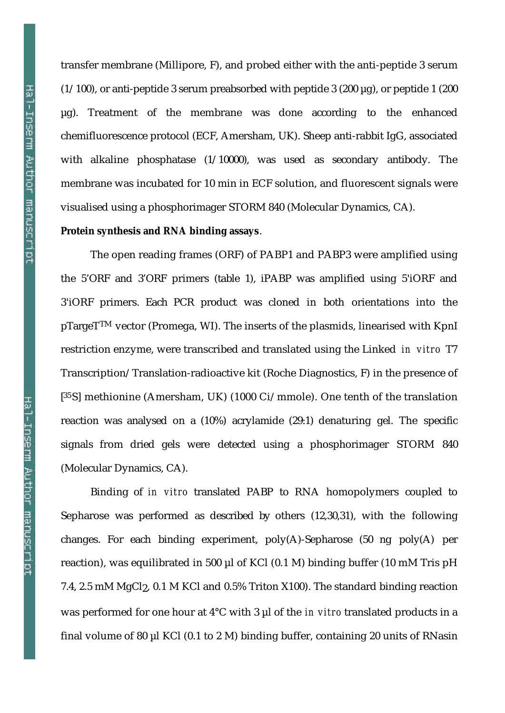transfer membrane (Millipore, F), and probed either with the anti-peptide 3 serum  $(1/100)$ , or anti-peptide 3 serum preabsorbed with peptide 3 (200 µg), or peptide 1 (200 µg). Treatment of the membrane was done according to the enhanced chemifluorescence protocol (ECF, Amersham, UK). Sheep anti-rabbit IgG, associated with alkaline phosphatase (1/10000), was used as secondary antibody. The membrane was incubated for 10 min in ECF solution, and fluorescent signals were visualised using a phosphorimager STORM 840 (Molecular Dynamics, CA).

#### **Protein synthesis and RNA binding assays**.

The open reading frames (ORF) of PABP1 and PABP3 were amplified using the 5'ORF and 3'ORF primers (table 1), iPABP was amplified using 5'iORF and 3'iORF primers. Each PCR product was cloned in both orientations into the pTargeTTM vector (Promega, WI). The inserts of the plasmids, linearised with KpnI restriction enzyme, were transcribed and translated using the Linked *in vitro* T7 Transcription/Translation-radioactive kit (Roche Diagnostics, F) in the presence of [ 35S] methionine (Amersham, UK) (1000 Ci/mmole). One tenth of the translation reaction was analysed on a (10%) acrylamide (29:1) denaturing gel. The specific signals from dried gels were detected using a phosphorimager STORM 840 (Molecular Dynamics, CA).

Binding of *in vitro* translated PABP to RNA homopolymers coupled to Sepharose was performed as described by others (12,30,31), with the following changes. For each binding experiment, poly(A)-Sepharose (50 ng poly(A) per reaction), was equilibrated in 500  $\mu$ l of KCl (0.1 M) binding buffer (10 mM Tris pH 7.4, 2.5 mM MgCl2, 0.1 M KCl and 0.5% Triton X100). The standard binding reaction was performed for one hour at 4°C with 3 µl of the *in vitro* translated products in a final volume of 80 µl KCl (0.1 to 2 M) binding buffer, containing 20 units of RNasin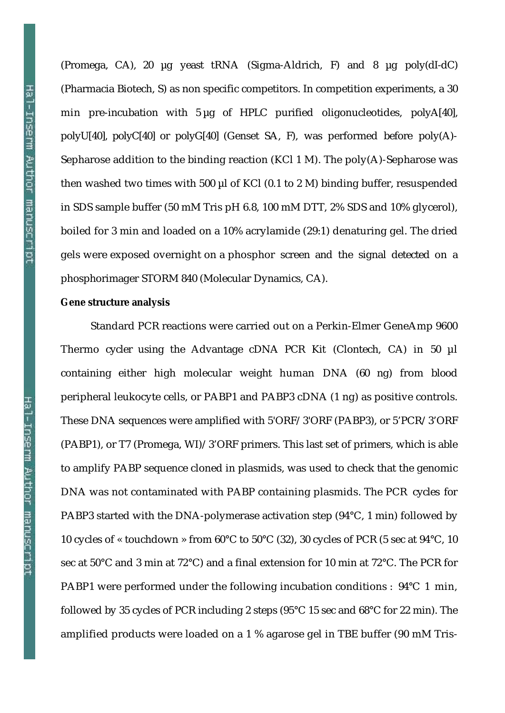(Promega, CA), 20 µg yeast tRNA (Sigma-Aldrich, F) and 8 µg poly(dI-dC) (Pharmacia Biotech, S) as non specific competitors. In competition experiments, a 30 min pre-incubation with 5 µg of HPLC purified oligonucleotides, polyA[40], polyU[40], polyC[40] or polyG[40] (Genset SA, F), was performed before poly(A)- Sepharose addition to the binding reaction (KCl 1 M). The poly(A)-Sepharose was then washed two times with 500 µl of KCl (0.1 to 2 M) binding buffer, resuspended in SDS sample buffer (50 mM Tris pH 6.8, 100 mM DTT, 2% SDS and 10% glycerol), boiled for 3 min and loaded on a 10% acrylamide (29:1) denaturing gel. The dried gels were exposed overnight on a phosphor screen and the signal detected on a phosphorimager STORM 840 (Molecular Dynamics, CA).

#### **Gene structure analysis**

Standard PCR reactions were carried out on a Perkin-Elmer GeneAmp 9600 Thermo cycler using the Advantage cDNA PCR Kit (Clontech, CA) in 50 µl containing either high molecular weight human DNA (60 ng) from blood peripheral leukocyte cells, or PABP1 and PABP3 cDNA (1 ng) as positive controls. These DNA sequences were amplified with 5'ORF/3'ORF (PABP3), or 5'PCR/3'ORF (PABP1), or T7 (Promega, WI)/3'ORF primers. This last set of primers, which is able to amplify PABP sequence cloned in plasmids, was used to check that the genomic DNA was not contaminated with PABP containing plasmids. The PCR cycles for PABP3 started with the DNA-polymerase activation step (94°C, 1 min) followed by 10 cycles of « touchdown » from 60°C to 50°C (32), 30 cycles of PCR (5 sec at 94°C, 10 sec at 50°C and 3 min at 72°C) and a final extension for 10 min at 72°C. The PCR for PABP1 were performed under the following incubation conditions : 94°C 1 min, followed by 35 cycles of PCR including 2 steps (95°C 15 sec and 68°C for 22 min). The amplified products were loaded on a 1 % agarose gel in TBE buffer (90 mM Tris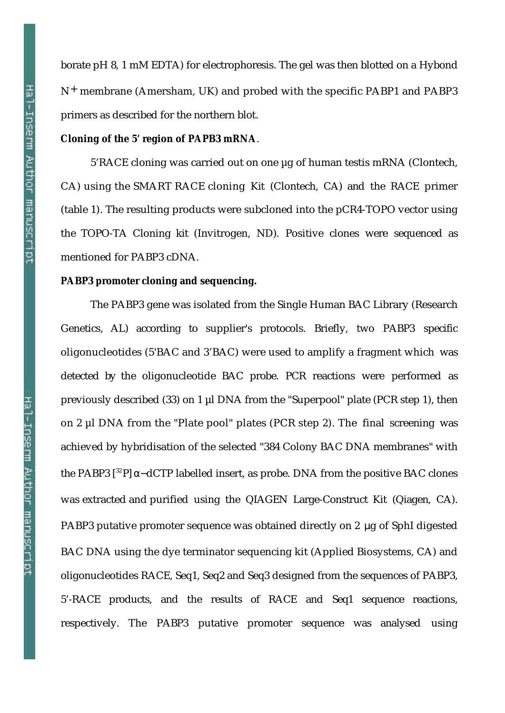borate pH 8, 1 mM EDTA) for electrophoresis. The gel was then blotted on a Hybond N+ membrane (Amersham, UK) and probed with the specific PABP1 and PABP3 primers as described for the northern blot.

#### **Cloning of the 5' region of PAPB3 mRNA**.

5'RACE cloning was carried out on one µg of human testis mRNA (Clontech, CA) using the SMART RACE cloning Kit (Clontech, CA) and the RACE primer (table 1). The resulting products were subcloned into the pCR4-TOPO vector using the TOPO-TA Cloning kit (Invitrogen, ND). Positive clones were sequenced as mentioned for PABP3 cDNA.

#### **PABP3 promoter cloning and sequencing.**

The PABP3 gene was isolated from the Single Human BAC Library (Research Genetics, AL) according to supplier's protocols. Briefly, two PABP3 specific oligonucleotides (5'BAC and 3'BAC) were used to amplify a fragment which was detected by the oligonucleotide BAC probe. PCR reactions were performed as previously described (33) on 1 µl DNA from the "Superpool" plate (PCR step 1), then on 2 µl DNA from the "Plate pool" plates (PCR step 2). The final screening was achieved by hybridisation of the selected "384 Colony BAC DNA membranes" with the PABP3 [<sup>32</sup>P] – dCTP labelled insert, as probe. DNA from the positive BAC clones was extracted and purified using the QIAGEN Large-Construct Kit (Qiagen, CA). PABP3 putative promoter sequence was obtained directly on 2 μg of SphI digested BAC DNA using the dye terminator sequencing kit (Applied Biosystems, CA) and oligonucleotides RACE, Seq1, Seq2 and Seq3 designed from the sequences of PABP3, 5'-RACE products, and the results of RACE and Seq1 sequence reactions, respectively. The PABP3 putative promoter sequence was analysed using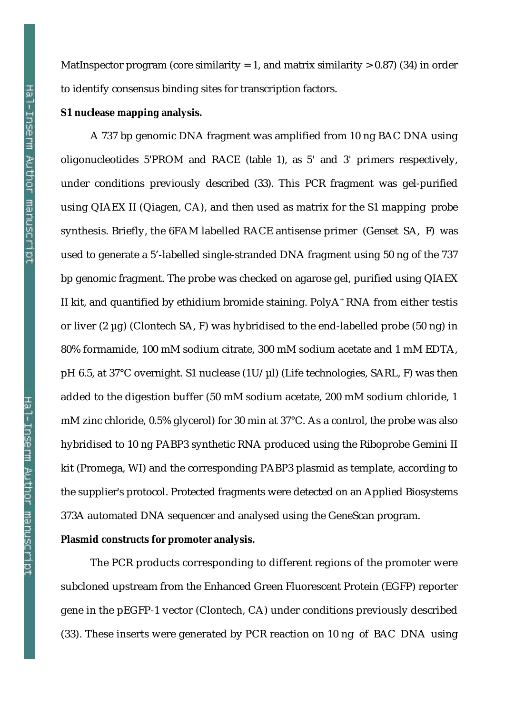Hal-Inserm Author manuscript

Hal-Inserm Author manuscript

MatInspector program (core similarity = 1, and matrix similarity  $> 0.87$ ) (34) in order to identify consensus binding sites for transcription factors.

#### **S1 nuclease mapping analysis.**

A 737 bp genomic DNA fragment was amplified from 10 ng BAC DNA using oligonucleotides 5'PROM and RACE (table 1), as 5' and 3' primers respectively, under conditions previously described (33). This PCR fragment was gel-purified using QIAEX II (Qiagen, CA), and then used as matrix for the S1 mapping probe synthesis. Briefly, the 6FAM labelled RACE antisense primer (Genset SA, F) was used to generate a 5'-labelled single-stranded DNA fragment using 50 ng of the 737 bp genomic fragment. The probe was checked on agarose gel, purified using QIAEX II kit, and quantified by ethidium bromide staining. PolyA<sup>+</sup> RNA from either testis or liver (2 µg) (Clontech SA, F) was hybridised to the end-labelled probe (50 ng) in 80% formamide, 100 mM sodium citrate, 300 mM sodium acetate and 1 mM EDTA, pH 6.5, at 37°C overnight. S1 nuclease  $(1U/\mu I)$  (Life technologies, SARL, F) was then added to the digestion buffer (50 mM sodium acetate, 200 mM sodium chloride, 1 mM zinc chloride, 0.5% glycerol) for 30 min at 37°C. As a control, the probe was also hybridised to 10 ng PABP3 synthetic RNA produced using the Riboprobe Gemini II kit (Promega, WI) and the corresponding PABP3 plasmid as template, according to the supplier's protocol. Protected fragments were detected on an Applied Biosystems 373A automated DNA sequencer and analysed using the GeneScan program.

#### **Plasmid constructs for promoter analysis.**

The PCR products corresponding to different regions of the promoter were subcloned upstream from the Enhanced Green Fluorescent Protein (EGFP) reporter gene in the pEGFP-1 vector (Clontech, CA) under conditions previously described (33). These inserts were generated by PCR reaction on 10 ng of BAC DNA using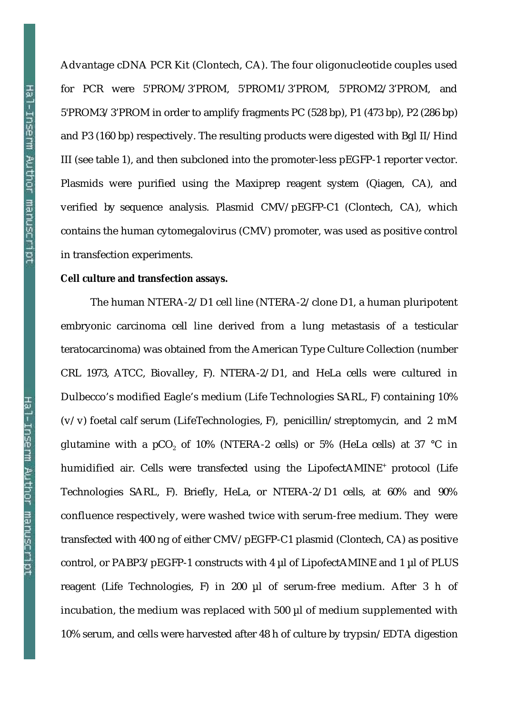Advantage cDNA PCR Kit (Clontech, CA). The four oligonucleotide couples used for PCR were 5'PROM/3'PROM, 5'PROM1/3'PROM, 5'PROM2/3'PROM, and 5'PROM3/3'PROM in order to amplify fragments PC (528 bp), P1 (473 bp), P2 (286 bp) and P3 (160 bp) respectively. The resulting products were digested with Bgl II/Hind III (see table 1), and then subcloned into the promoter-less pEGFP-1 reporter vector. Plasmids were purified using the Maxiprep reagent system (Qiagen, CA), and verified by sequence analysis. Plasmid CMV/pEGFP-C1 (Clontech, CA), which contains the human cytomegalovirus (CMV) promoter, was used as positive control in transfection experiments.

#### **Cell culture and transfection assays.**

The human NTERA-2/D1 cell line (NTERA-2/clone D1, a human pluripotent embryonic carcinoma cell line derived from a lung metastasis of a testicular teratocarcinoma) was obtained from the American Type Culture Collection (number CRL 1973, ATCC, Biovalley, F). NTERA-2/D1, and HeLa cells were cultured in Dulbecco's modified Eagle's medium (Life Technologies SARL, F) containing 10%  $(v/v)$  foetal calf serum (LifeTechnologies, F), penicillin/streptomycin, and 2 mM glutamine with a pCO<sub>2</sub> of 10% (NTERA-2 cells) or 5% (HeLa cells) at 37 °C in humidified air. Cells were transfected using the LipofectAMINE<sup>+</sup> protocol (Life Technologies SARL, F). Briefly, HeLa, or NTERA-2/D1 cells, at 60% and 90% confluence respectively, were washed twice with serum-free medium. They were transfected with 400 ng of either CMV/pEGFP-C1 plasmid (Clontech, CA) as positive control, or PABP3/pEGFP-1 constructs with 4 µl of LipofectAMINE and 1 µl of PLUS reagent (Life Technologies, F) in 200 µl of serum-free medium. After 3 h of incubation, the medium was replaced with 500 µl of medium supplemented with 10% serum, and cells were harvested after 48 h of culture by trypsin/EDTA digestion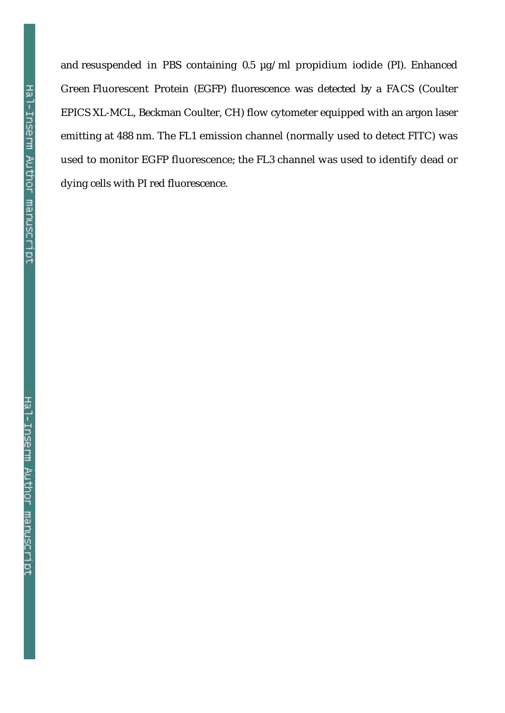Hal-Inserm Author manuscript

and resuspended in PBS containing 0.5 µg/ml propidium iodide (PI). Enhanced Green Fluorescent Protein (EGFP) fluorescence was detected by a FACS (Coulter EPICS XL-MCL, Beckman Coulter, CH) flow cytometer equipped with an argon laser emitting at 488 nm. The FL1 emission channel (normally used to detect FITC) was used to monitor EGFP fluorescence; the FL3 channel was used to identify dead or dying cells with PI red fluorescence.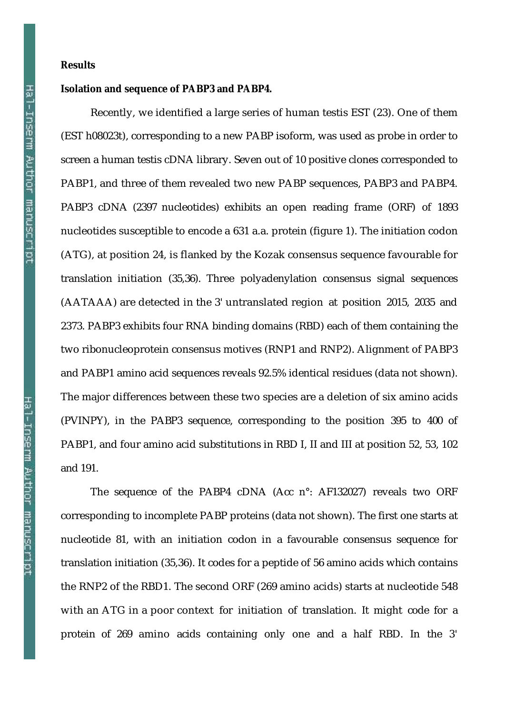#### **Isolation and sequence of PABP3 and PABP4.**

Recently, we identified a large series of human testis EST (23). One of them (EST h08023t), corresponding to a new PABP isoform, was used as probe in order to screen a human testis cDNA library. Seven out of 10 positive clones corresponded to PABP1, and three of them revealed two new PABP sequences, PABP3 and PABP4. PABP3 cDNA (2397 nucleotides) exhibits an open reading frame (ORF) of 1893 nucleotides susceptible to encode a 631 a.a. protein (figure 1). The initiation codon (ATG), at position 24, is flanked by the Kozak consensus sequence favourable for translation initiation (35,36). Three polyadenylation consensus signal sequences (AATAAA) are detected in the 3' untranslated region at position 2015, 2035 and 2373. PABP3 exhibits four RNA binding domains (RBD) each of them containing the two ribonucleoprotein consensus motives (RNP1 and RNP2). Alignment of PABP3 and PABP1 amino acid sequences reveals 92.5% identical residues (data not shown). The major differences between these two species are a deletion of six amino acids (PVINPY), in the PABP3 sequence, corresponding to the position 395 to 400 of PABP1, and four amino acid substitutions in RBD I, II and III at position 52, 53, 102 and 191.

The sequence of the PABP4 cDNA (Acc n°: AF132027) reveals two ORF corresponding to incomplete PABP proteins (data not shown). The first one starts at nucleotide 81, with an initiation codon in a favourable consensus sequence for translation initiation (35,36). It codes for a peptide of 56 amino acids which contains the RNP2 of the RBD1. The second ORF (269 amino acids) starts at nucleotide 548 with an ATG in a poor context for initiation of translation. It might code for a protein of 269 amino acids containing only one and a half RBD. In the 3'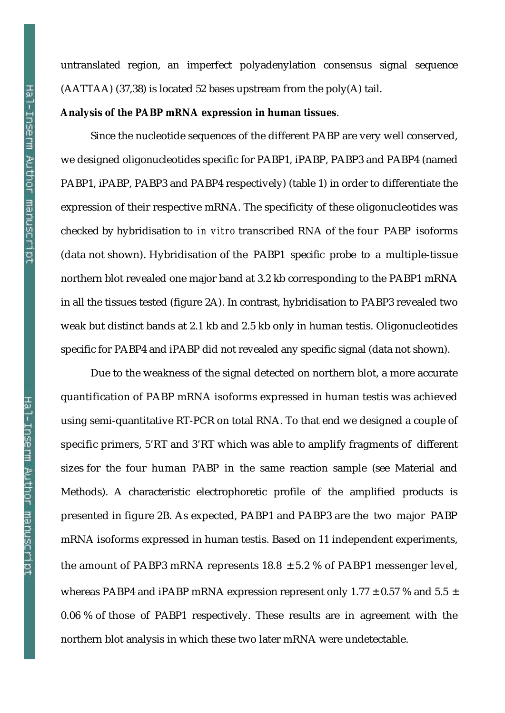Hal-Inserm Author manuscript

untranslated region, an imperfect polyadenylation consensus signal sequence (AATTAA) (37,38) is located 52 bases upstream from the poly(A) tail.

#### **Analysis of the PABP mRNA expression in human tissues**.

Since the nucleotide sequences of the different PABP are very well conserved, we designed oligonucleotides specific for PABP1, iPABP, PABP3 and PABP4 (named PABP1, iPABP, PABP3 and PABP4 respectively) (table 1) in order to differentiate the expression of their respective mRNA. The specificity of these oligonucleotides was checked by hybridisation to *in vitro* transcribed RNA of the four PABP isoforms (data not shown). Hybridisation of the PABP1 specific probe to a multiple-tissue northern blot revealed one major band at 3.2 kb corresponding to the PABP1 mRNA in all the tissues tested (figure 2A). In contrast, hybridisation to PABP3 revealed two weak but distinct bands at 2.1 kb and 2.5 kb only in human testis. Oligonucleotides specific for PABP4 and iPABP did not revealed any specific signal (data not shown).

Due to the weakness of the signal detected on northern blot, a more accurate quantification of PABP mRNA isoforms expressed in human testis was achieved using semi-quantitative RT-PCR on total RNA. To that end we designed a couple of specific primers, 5'RT and 3'RT which was able to amplify fragments of different sizes for the four human PABP in the same reaction sample (see Material and Methods). A characteristic electrophoretic profile of the amplified products is presented in figure 2B. As expected, PABP1 and PABP3 are the two major PABP mRNA isoforms expressed in human testis. Based on 11 independent experiments, the amount of PABP3 mRNA represents  $18.8 \pm 5.2$  % of PABP1 messenger level, whereas PABP4 and iPABP mRNA expression represent only 1.77  $\pm$  0.57 % and 5.5  $\pm$ 0.06 % of those of PABP1 respectively. These results are in agreement with the northern blot analysis in which these two later mRNA were undetectable.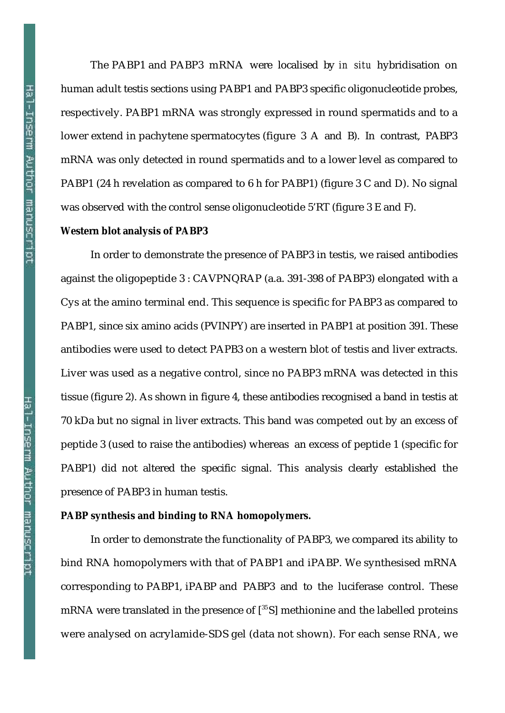The PABP1 and PABP3 mRNA were localised by *in situ* hybridisation on human adult testis sections using PABP1 and PABP3 specific oligonucleotide probes, respectively. PABP1 mRNA was strongly expressed in round spermatids and to a lower extend in pachytene spermatocytes (figure 3 A and B). In contrast, PABP3 mRNA was only detected in round spermatids and to a lower level as compared to PABP1 (24 h revelation as compared to 6 h for PABP1) (figure 3 C and D). No signal was observed with the control sense oligonucleotide 5'RT (figure 3 E and F).

#### **Western blot analysis of PABP3**

In order to demonstrate the presence of PABP3 in testis, we raised antibodies against the oligopeptide 3 : CAVPNQRAP (a.a. 391-398 of PABP3) elongated with a Cys at the amino terminal end. This sequence is specific for PABP3 as compared to PABP1, since six amino acids (PVINPY) are inserted in PABP1 at position 391. These antibodies were used to detect PAPB3 on a western blot of testis and liver extracts. Liver was used as a negative control, since no PABP3 mRNA was detected in this tissue (figure 2). As shown in figure 4, these antibodies recognised a band in testis at 70 kDa but no signal in liver extracts. This band was competed out by an excess of peptide 3 (used to raise the antibodies) whereas an excess of peptide 1 (specific for PABP1) did not altered the specific signal. This analysis clearly established the presence of PABP3 in human testis.

#### **PABP synthesis and binding to RNA homopolymers.**

In order to demonstrate the functionality of PABP3, we compared its ability to bind RNA homopolymers with that of PABP1 and iPABP. We synthesised mRNA corresponding to PABP1, iPABP and PABP3 and to the luciferase control. These mRNA were translated in the presence of  $[^{35}S]$  methionine and the labelled proteins were analysed on acrylamide-SDS gel (data not shown). For each sense RNA, we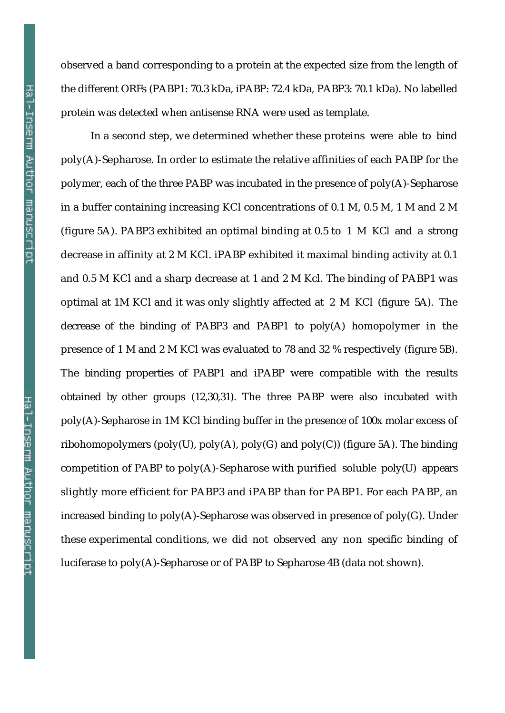observed a band corresponding to a protein at the expected size from the length of the different ORFs (PABP1: 70.3 kDa, iPABP: 72.4 kDa, PABP3: 70.1 kDa). No labelled protein was detected when antisense RNA were used as template. In a second step, we determined whether these proteins were able to bind

poly(A)-Sepharose. In order to estimate the relative affinities of each PABP for the polymer, each of the three PABP was incubated in the presence of poly(A)-Sepharose in a buffer containing increasing KCl concentrations of 0.1 M, 0.5 M, 1 M and 2 M (figure 5A). PABP3 exhibited an optimal binding at 0.5 to 1 M KCl and a strong decrease in affinity at 2 M KCl. iPABP exhibited it maximal binding activity at 0.1 and 0.5 M KCl and a sharp decrease at 1 and 2 M Kcl. The binding of PABP1 was optimal at 1M KCl and it was only slightly affected at 2 M KCl (figure 5A). The decrease of the binding of PABP3 and PABP1 to poly(A) homopolymer in the presence of 1 M and 2 M KCl was evaluated to 78 and 32 % respectively (figure 5B). The binding properties of PABP1 and iPABP were compatible with the results obtained by other groups (12,30,31). The three PABP were also incubated with poly(A)-Sepharose in 1M KCl binding buffer in the presence of 100x molar excess of ribohomopolymers (poly(U), poly(A), poly(G) and poly(C)) (figure 5A). The binding competition of PABP to poly(A)-Sepharose with purified soluble poly(U) appears slightly more efficient for PABP3 and iPABP than for PABP1. For each PABP, an increased binding to  $poly(A)$ -Sepharose was observed in presence of  $poly(G)$ . Under these experimental conditions, we did not observed any non specific binding of luciferase to poly(A)-Sepharose or of PABP to Sepharose 4B (data not shown).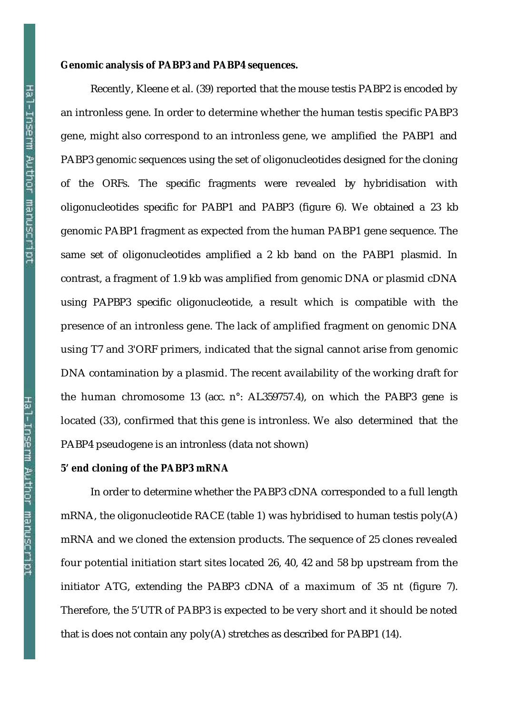#### **Genomic analysis of PABP3 and PABP4 sequences.**

Recently, Kleene et al. (39) reported that the mouse testis PABP2 is encoded by an intronless gene. In order to determine whether the human testis specific PABP3 gene, might also correspond to an intronless gene, we amplified the PABP1 and PABP3 genomic sequences using the set of oligonucleotides designed for the cloning of the ORFs. The specific fragments were revealed by hybridisation with oligonucleotides specific for PABP1 and PABP3 (figure 6). We obtained a 23 kb genomic PABP1 fragment as expected from the human PABP1 gene sequence. The same set of oligonucleotides amplified a 2 kb band on the PABP1 plasmid. In contrast, a fragment of 1.9 kb was amplified from genomic DNA or plasmid cDNA using PAPBP3 specific oligonucleotide, a result which is compatible with the presence of an intronless gene. The lack of amplified fragment on genomic DNA using T7 and 3'ORF primers, indicated that the signal cannot arise from genomic DNA contamination by a plasmid. The recent availability of the working draft for the human chromosome 13 (acc. n°: AL359757.4), on which the PABP3 gene is located (33), confirmed that this gene is intronless. We also determined that the PABP4 pseudogene is an intronless (data not shown)

#### **5' end cloning of the PABP3 mRNA**

In order to determine whether the PABP3 cDNA corresponded to a full length mRNA, the oligonucleotide RACE (table 1) was hybridised to human testis poly(A) mRNA and we cloned the extension products. The sequence of 25 clones revealed four potential initiation start sites located 26, 40, 42 and 58 bp upstream from the initiator ATG, extending the PABP3 cDNA of a maximum of 35 nt (figure 7). Therefore, the 5'UTR of PABP3 is expected to be very short and it should be noted that is does not contain any poly(A) stretches as described for PABP1 (14).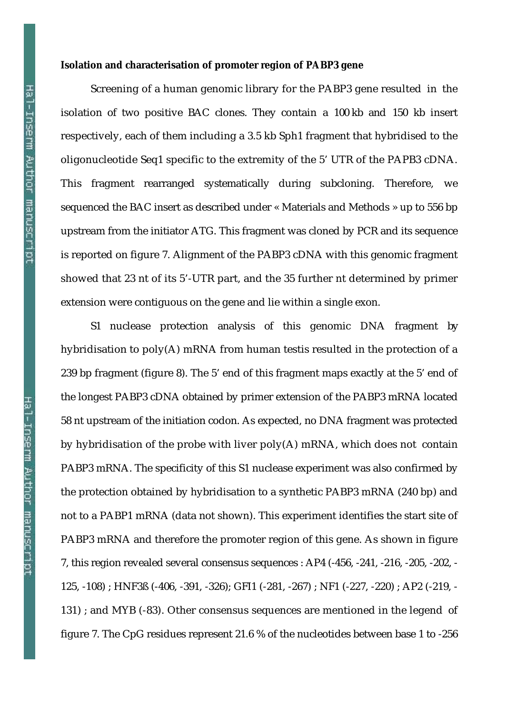#### **Isolation and characterisation of promoter region of PABP3 gene**

Screening of a human genomic library for the PABP3 gene resulted in the isolation of two positive BAC clones. They contain a 100 kb and 150 kb insert respectively, each of them including a 3.5 kb Sph1 fragment that hybridised to the oligonucleotide Seq1 specific to the extremity of the 5' UTR of the PAPB3 cDNA. This fragment rearranged systematically during subcloning. Therefore, we sequenced the BAC insert as described under « Materials and Methods » up to 556 bp upstream from the initiator ATG. This fragment was cloned by PCR and its sequence is reported on figure 7. Alignment of the PABP3 cDNA with this genomic fragment showed that 23 nt of its 5'-UTR part, and the 35 further nt determined by primer extension were contiguous on the gene and lie within a single exon.

S1 nuclease protection analysis of this genomic DNA fragment by hybridisation to poly(A) mRNA from human testis resulted in the protection of a 239 bp fragment (figure 8). The 5' end of this fragment maps exactly at the 5' end of the longest PABP3 cDNA obtained by primer extension of the PABP3 mRNA located 58 nt upstream of the initiation codon. As expected, no DNA fragment was protected by hybridisation of the probe with liver poly(A) mRNA, which does not contain PABP3 mRNA. The specificity of this S1 nuclease experiment was also confirmed by the protection obtained by hybridisation to a synthetic PABP3 mRNA (240 bp) and not to a PABP1 mRNA (data not shown). This experiment identifies the start site of PABP3 mRNA and therefore the promoter region of this gene. As shown in figure 7, this region revealed several consensus sequences : AP4 (-456, -241, -216, -205, -202, - 125, -108) ; HNF3ß (-406, -391, -326); GFI1 (-281, -267) ; NF1 (-227, -220) ; AP2 (-219, - 131) ; and MYB (-83). Other consensus sequences are mentioned in the legend of figure 7. The CpG residues represent 21.6 % of the nucleotides between base 1 to -256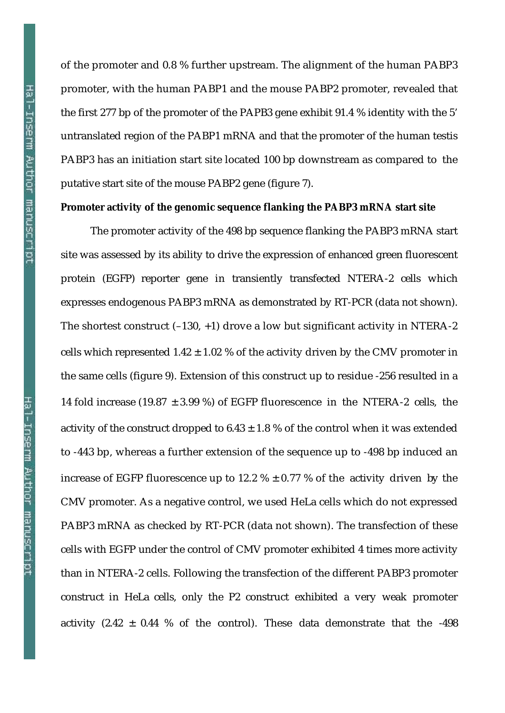Hal-Inserm Author manuscript

of the promoter and 0.8 % further upstream. The alignment of the human PABP3 promoter, with the human PABP1 and the mouse PABP2 promoter, revealed that the first 277 bp of the promoter of the PAPB3 gene exhibit 91.4 % identity with the 5' untranslated region of the PABP1 mRNA and that the promoter of the human testis PABP3 has an initiation start site located 100 bp downstream as compared to the putative start site of the mouse PABP2 gene (figure 7).

#### **Promoter activity of the genomic sequence flanking the PABP3 mRNA start site**

The promoter activity of the 498 bp sequence flanking the PABP3 mRNA start site was assessed by its ability to drive the expression of enhanced green fluorescent protein (EGFP) reporter gene in transiently transfected NTERA-2 cells which expresses endogenous PABP3 mRNA as demonstrated by RT-PCR (data not shown). The shortest construct  $(-130, +1)$  drove a low but significant activity in NTERA-2 cells which represented  $1.42 \pm 1.02$  % of the activity driven by the CMV promoter in the same cells (figure 9). Extension of this construct up to residue -256 resulted in a 14 fold increase (19.87  $\pm$  3.99 %) of EGFP fluorescence in the NTERA-2 cells, the activity of the construct dropped to  $6.43 \pm 1.8$  % of the control when it was extended to -443 bp, whereas a further extension of the sequence up to -498 bp induced an increase of EGFP fluorescence up to 12.2  $% \pm 0.77$  % of the activity driven by the CMV promoter. As a negative control, we used HeLa cells which do not expressed PABP3 mRNA as checked by RT-PCR (data not shown). The transfection of these cells with EGFP under the control of CMV promoter exhibited 4 times more activity than in NTERA-2 cells. Following the transfection of the different PABP3 promoter construct in HeLa cells, only the P2 construct exhibited a very weak promoter activity  $(2.42 \pm 0.44)$ % of the control). These data demonstrate that the -498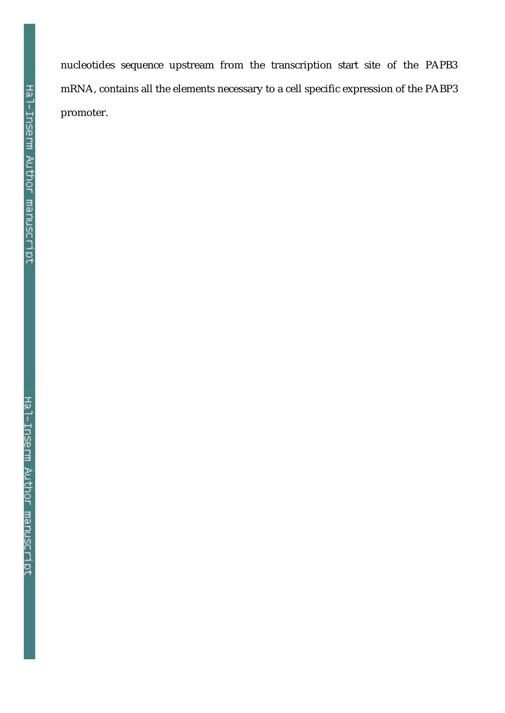Hal-Inserm Author manuscript

nucleotides sequence upstream from the transcription start site of the PAPB3 mRNA, contains all the elements necessary to a cell specific expression of the PABP3 promoter.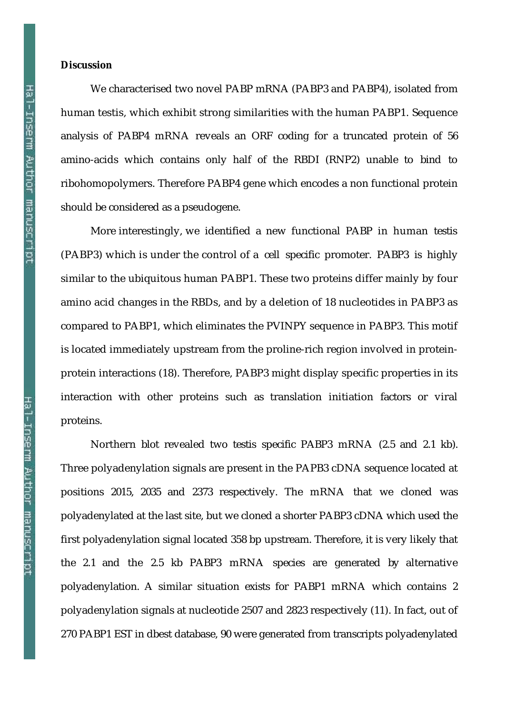#### **Discussion**

We characterised two novel PABP mRNA (PABP3 and PABP4), isolated from human testis, which exhibit strong similarities with the human PABP1. Sequence analysis of PABP4 mRNA reveals an ORF coding for a truncated protein of 56 amino-acids which contains only half of the RBDI (RNP2) unable to bind to ribohomopolymers. Therefore PABP4 gene which encodes a non functional protein should be considered as a pseudogene.

More interestingly, we identified a new functional PABP in human testis (PABP3) which is under the control of a cell specific promoter. PABP3 is highly similar to the ubiquitous human PABP1. These two proteins differ mainly by four amino acid changes in the RBDs, and by a deletion of 18 nucleotides in PABP3 as compared to PABP1, which eliminates the PVINPY sequence in PABP3. This motif is located immediately upstream from the proline-rich region involved in proteinprotein interactions (18). Therefore, PABP3 might display specific properties in its interaction with other proteins such as translation initiation factors or viral proteins.

Northern blot revealed two testis specific PABP3 mRNA (2.5 and 2.1 kb). Three polyadenylation signals are present in the PAPB3 cDNA sequence located at positions 2015, 2035 and 2373 respectively. The mRNA that we cloned was polyadenylated at the last site, but we cloned a shorter PABP3 cDNA which used the first polyadenylation signal located 358 bp upstream. Therefore, it is very likely that the 2.1 and the 2.5 kb PABP3 mRNA species are generated by alternative polyadenylation. A similar situation exists for PABP1 mRNA which contains 2 polyadenylation signals at nucleotide 2507 and 2823 respectively (11). In fact, out of 270 PABP1 EST in dbest database, 90 were generated from transcripts polyadenylated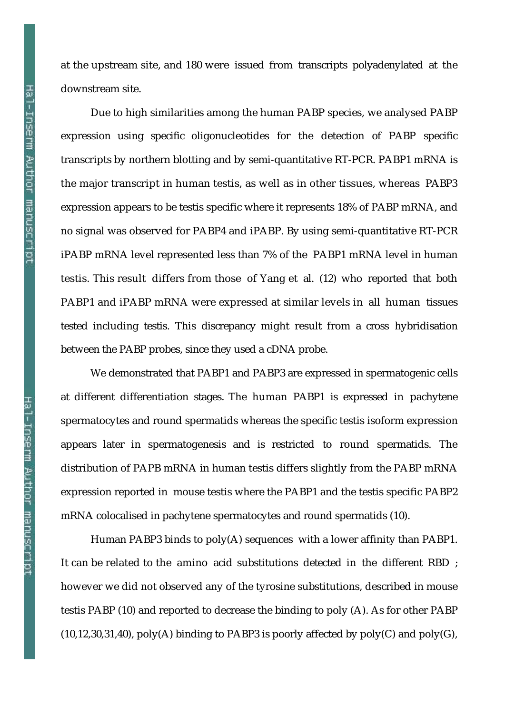at the upstream site, and 180 were issued from transcripts polyadenylated at the downstream site.

Due to high similarities among the human PABP species, we analysed PABP expression using specific oligonucleotides for the detection of PABP specific transcripts by northern blotting and by semi-quantitative RT-PCR. PABP1 mRNA is the major transcript in human testis, as well as in other tissues, whereas PABP3 expression appears to be testis specific where it represents 18% of PABP mRNA, and no signal was observed for PABP4 and iPABP. By using semi-quantitative RT-PCR iPABP mRNA level represented less than 7% of the PABP1 mRNA level in human testis. This result differs from those of Yang et al. (12) who reported that both PABP1 and iPABP mRNA were expressed at similar levels in all human tissues tested including testis. This discrepancy might result from a cross hybridisation between the PABP probes, since they used a cDNA probe.

We demonstrated that PABP1 and PABP3 are expressed in spermatogenic cells at different differentiation stages. The human PABP1 is expressed in pachytene spermatocytes and round spermatids whereas the specific testis isoform expression appears later in spermatogenesis and is restricted to round spermatids. The distribution of PAPB mRNA in human testis differs slightly from the PABP mRNA expression reported in mouse testis where the PABP1 and the testis specific PABP2 mRNA colocalised in pachytene spermatocytes and round spermatids (10).

Human PABP3 binds to poly(A) sequences with a lower affinity than PABP1. It can be related to the amino acid substitutions detected in the different RBD ; however we did not observed any of the tyrosine substitutions, described in mouse testis PABP (10) and reported to decrease the binding to poly (A). As for other PABP  $(10,12,30,31,40)$ , poly(A) binding to PABP3 is poorly affected by poly(C) and poly(G),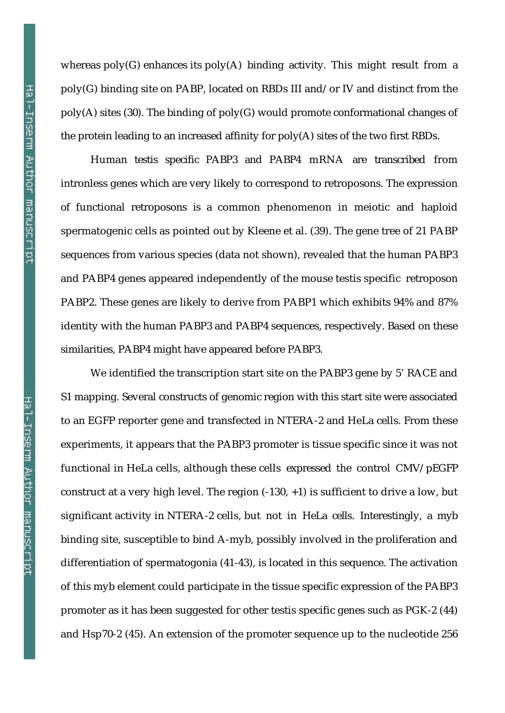whereas  $poly(G)$  enhances its  $poly(A)$  binding activity. This might result from a poly(G) binding site on PABP, located on RBDs III and/or IV and distinct from the poly(A) sites (30). The binding of poly(G) would promote conformational changes of the protein leading to an increased affinity for poly(A) sites of the two first RBDs.

Human testis specific PABP3 and PABP4 mRNA are transcribed from intronless genes which are very likely to correspond to retroposons. The expression of functional retroposons is a common phenomenon in meiotic and haploid spermatogenic cells as pointed out by Kleene et al. (39). The gene tree of 21 PABP sequences from various species (data not shown), revealed that the human PABP3 and PABP4 genes appeared independently of the mouse testis specific retroposon PABP2. These genes are likely to derive from PABP1 which exhibits 94% and 87% identity with the human PABP3 and PABP4 sequences, respectively. Based on these similarities, PABP4 might have appeared before PABP3.

We identified the transcription start site on the PABP3 gene by 5' RACE and S1 mapping. Several constructs of genomic region with this start site were associated to an EGFP reporter gene and transfected in NTERA-2 and HeLa cells. From these experiments, it appears that the PABP3 promoter is tissue specific since it was not functional in HeLa cells, although these cells expressed the control CMV/pEGFP construct at a very high level. The region  $(-130, +1)$  is sufficient to drive a low, but significant activity in NTERA-2 cells, but not in HeLa cells. Interestingly, a myb binding site, susceptible to bind A-myb, possibly involved in the proliferation and differentiation of spermatogonia (41-43), is located in this sequence. The activation of this myb element could participate in the tissue specific expression of the PABP3 promoter as it has been suggested for other testis specific genes such as PGK-2 (44) and Hsp70-2 (45). An extension of the promoter sequence up to the nucleotide 256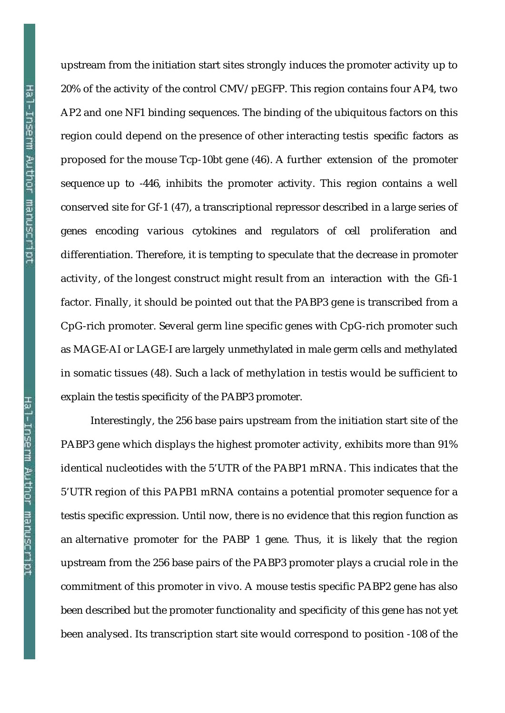upstream from the initiation start sites strongly induces the promoter activity up to 20% of the activity of the control CMV/pEGFP. This region contains four AP4, two AP2 and one NF1 binding sequences. The binding of the ubiquitous factors on this region could depend on the presence of other interacting testis specific factors as proposed for the mouse Tcp-10bt gene (46). A further extension of the promoter sequence up to -446, inhibits the promoter activity. This region contains a well conserved site for Gf-1 (47), a transcriptional repressor described in a large series of genes encoding various cytokines and regulators of cell proliferation and differentiation. Therefore, it is tempting to speculate that the decrease in promoter activity, of the longest construct might result from an interaction with the Gfi-1 factor. Finally, it should be pointed out that the PABP3 gene is transcribed from a CpG-rich promoter. Several germ line specific genes with CpG-rich promoter such as MAGE-AI or LAGE-I are largely unmethylated in male germ cells and methylated in somatic tissues (48). Such a lack of methylation in testis would be sufficient to explain the testis specificity of the PABP3 promoter.

Interestingly, the 256 base pairs upstream from the initiation start site of the PABP3 gene which displays the highest promoter activity, exhibits more than 91% identical nucleotides with the 5'UTR of the PABP1 mRNA. This indicates that the 5'UTR region of this PAPB1 mRNA contains a potential promoter sequence for a testis specific expression. Until now, there is no evidence that this region function as an alternative promoter for the PABP 1 gene. Thus, it is likely that the region upstream from the 256 base pairs of the PABP3 promoter plays a crucial role in the commitment of this promoter in vivo. A mouse testis specific PABP2 gene has also been described but the promoter functionality and specificity of this gene has not yet been analysed. Its transcription start site would correspond to position -108 of the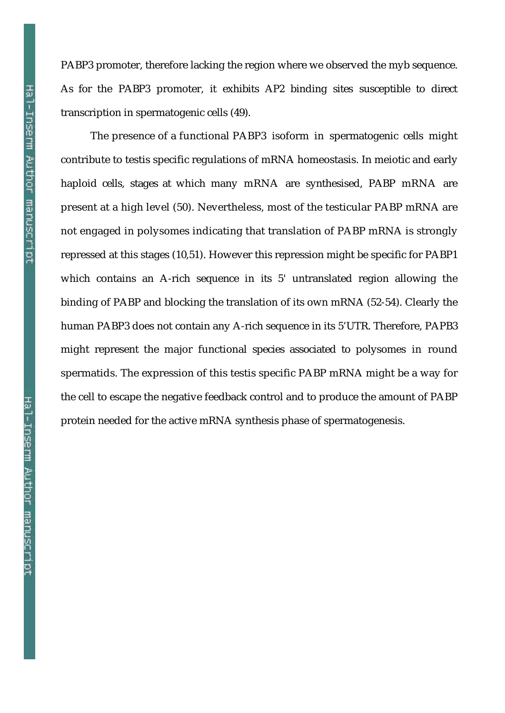PABP3 promoter, therefore lacking the region where we observed the myb sequence. As for the PABP3 promoter, it exhibits AP2 binding sites susceptible to direct transcription in spermatogenic cells (49).

The presence of a functional PABP3 isoform in spermatogenic cells might contribute to testis specific regulations of mRNA homeostasis. In meiotic and early haploid cells, stages at which many mRNA are synthesised, PABP mRNA are present at a high level (50). Nevertheless, most of the testicular PABP mRNA are not engaged in polysomes indicating that translation of PABP mRNA is strongly repressed at this stages (10,51). However this repression might be specific for PABP1 which contains an A-rich sequence in its 5' untranslated region allowing the binding of PABP and blocking the translation of its own mRNA (52-54). Clearly the human PABP3 does not contain any A-rich sequence in its 5'UTR. Therefore, PAPB3 might represent the major functional species associated to polysomes in round spermatids. The expression of this testis specific PABP mRNA might be a way for the cell to escape the negative feedback control and to produce the amount of PABP protein needed for the active mRNA synthesis phase of spermatogenesis.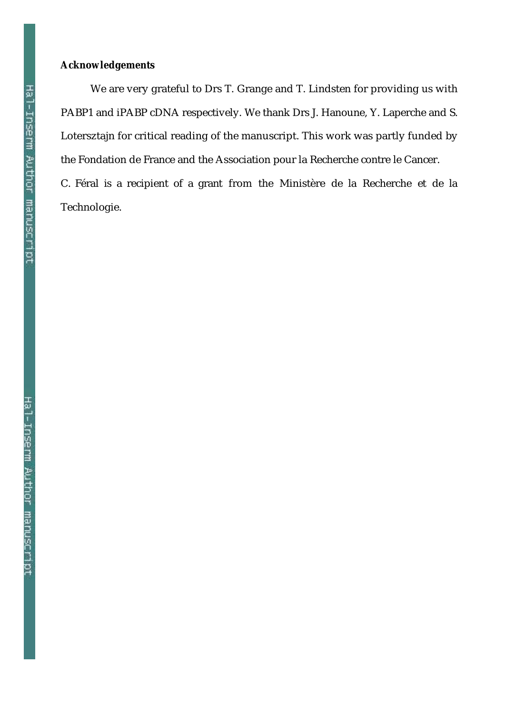### **Acknowledgements**

We are very grateful to Drs T. Grange and T. Lindsten for providing us with PABP1 and iPABP cDNA respectively. We thank Drs J. Hanoune, Y. Laperche and S. Lotersztajn for critical reading of the manuscript. This work was partly funded by the Fondation de France and the Association pour la Recherche contre le Cancer.

C. Féral is a recipient of a grant from the Ministère de la Recherche et de la Technologie.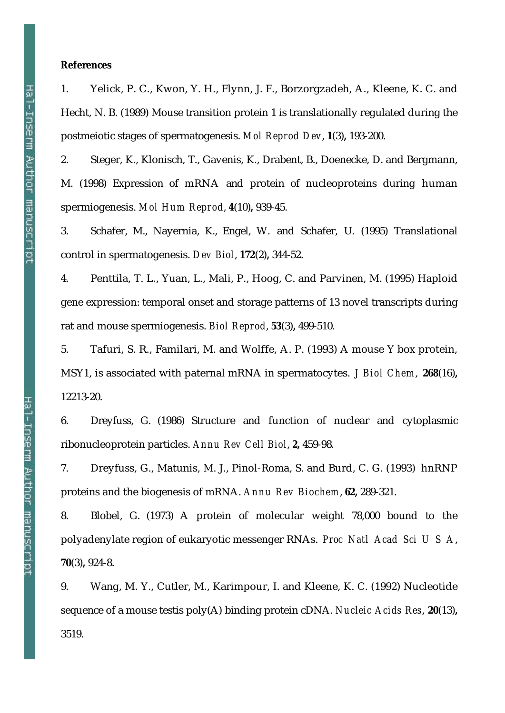#### **References**

1. Yelick, P. C., Kwon, Y. H., Flynn, J. F., Borzorgzadeh, A., Kleene, K. C. and Hecht, N. B. (1989) Mouse transition protein 1 is translationally regulated during the postmeiotic stages of spermatogenesis. *Mol Reprod Dev*, **1**(3)**,** 193-200.

2. Steger, K., Klonisch, T., Gavenis, K., Drabent, B., Doenecke, D. and Bergmann, M. (1998) Expression of mRNA and protein of nucleoproteins during human spermiogenesis. *Mol Hum Reprod*, **4**(10)**,** 939-45.

3. Schafer, M., Nayernia, K., Engel, W. and Schafer, U. (1995) Translational control in spermatogenesis. *Dev Biol*, **172**(2)**,** 344-52.

4. Penttila, T. L., Yuan, L., Mali, P., Hoog, C. and Parvinen, M. (1995) Haploid gene expression: temporal onset and storage patterns of 13 novel transcripts during rat and mouse spermiogenesis. *Biol Reprod*, **53**(3)**,** 499-510.

5. Tafuri, S. R., Familari, M. and Wolffe, A. P. (1993) A mouse Y box protein, MSY1, is associated with paternal mRNA in spermatocytes. *J Biol Chem*, **268**(16)**,** 12213-20.

6. Dreyfuss, G. (1986) Structure and function of nuclear and cytoplasmic ribonucleoprotein particles. *Annu Rev Cell Biol*, **2,** 459-98.

7. Dreyfuss, G., Matunis, M. J., Pinol-Roma, S. and Burd, C. G. (1993) hnRNP proteins and the biogenesis of mRNA. *Annu Rev Biochem*, **62,** 289-321.

8. Blobel, G. (1973) A protein of molecular weight 78,000 bound to the polyadenylate region of eukaryotic messenger RNAs. *Proc Natl Acad Sci U S A*, **70**(3)**,** 924-8.

9. Wang, M. Y., Cutler, M., Karimpour, I. and Kleene, K. C. (1992) Nucleotide sequence of a mouse testis poly(A) binding protein cDNA. *Nucleic Acids Res*, **20**(13)**,** 3519.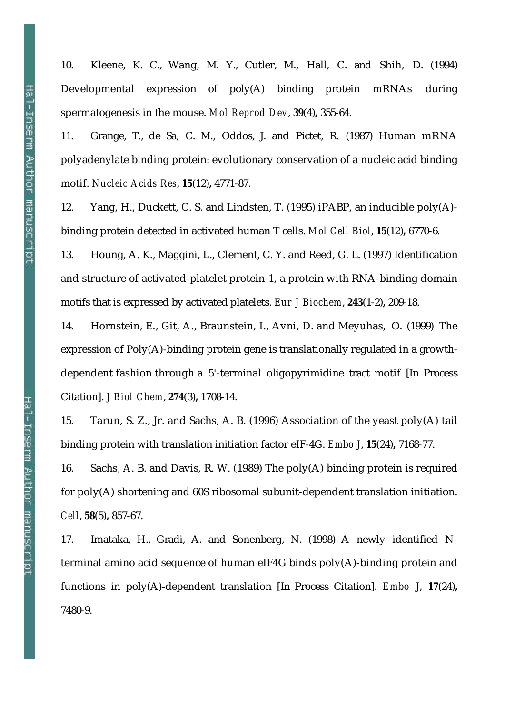10. Kleene, K. C., Wang, M. Y., Cutler, M., Hall, C. and Shih, D. (1994) Developmental expression of poly(A) binding protein mRNAs during spermatogenesis in the mouse. *Mol Reprod Dev*, **39**(4)**,** 355-64.

11. Grange, T., de Sa, C. M., Oddos, J. and Pictet, R. (1987) Human mRNA polyadenylate binding protein: evolutionary conservation of a nucleic acid binding motif. *Nucleic Acids Res*, **15**(12)**,** 4771-87.

12. Yang, H., Duckett, C. S. and Lindsten, T. (1995) iPABP, an inducible poly(A) binding protein detected in activated human T cells. *Mol Cell Biol*, **15**(12)**,** 6770-6.

13. Houng, A. K., Maggini, L., Clement, C. Y. and Reed, G. L. (1997) Identification and structure of activated-platelet protein-1, a protein with RNA-binding domain motifs that is expressed by activated platelets. *Eur J Biochem*, **243**(1-2)**,** 209-18.

14. Hornstein, E., Git, A., Braunstein, I., Avni, D. and Meyuhas, O. (1999) The expression of Poly(A)-binding protein gene is translationally regulated in a growthdependent fashion through a 5'-terminal oligopyrimidine tract motif [In Process Citation]. *J Biol Chem*, **274**(3)**,** 1708-14.

15. Tarun, S. Z., Jr. and Sachs, A. B. (1996) Association of the yeast poly(A) tail binding protein with translation initiation factor eIF-4G. *Embo J*, **15**(24)**,** 7168-77.

16. Sachs, A. B. and Davis, R. W. (1989) The poly(A) binding protein is required for poly(A) shortening and 60S ribosomal subunit-dependent translation initiation. *Cell*, **58**(5)**,** 857-67.

17. Imataka, H., Gradi, A. and Sonenberg, N. (1998) A newly identified Nterminal amino acid sequence of human eIF4G binds poly(A)-binding protein and functions in poly(A)-dependent translation [In Process Citation]. *Embo J*, **17**(24)**,** 7480-9.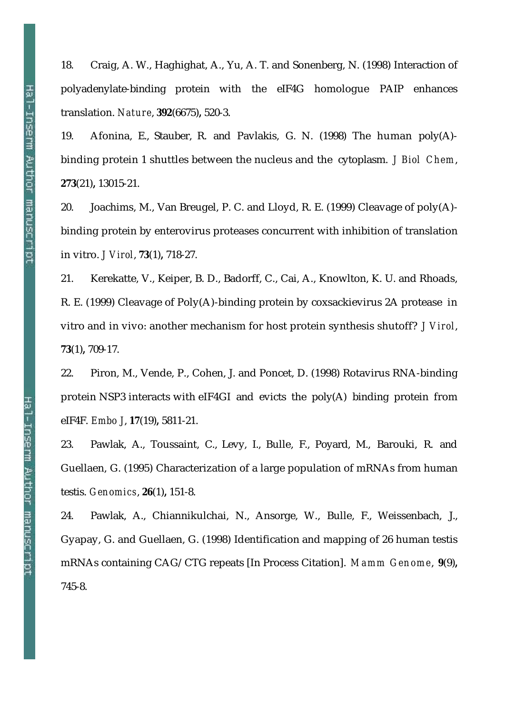18. Craig, A. W., Haghighat, A., Yu, A. T. and Sonenberg, N. (1998) Interaction of polyadenylate-binding protein with the eIF4G homologue PAIP enhances translation. *Nature*, **392**(6675)**,** 520-3.

19. Afonina, E., Stauber, R. and Pavlakis, G. N. (1998) The human poly(A) binding protein 1 shuttles between the nucleus and the cytoplasm. *J Biol Chem*, **273**(21)**,** 13015-21.

20. Joachims, M., Van Breugel, P. C. and Lloyd, R. E. (1999) Cleavage of poly(A) binding protein by enterovirus proteases concurrent with inhibition of translation in vitro. *J Virol*, **73**(1)**,** 718-27.

21. Kerekatte, V., Keiper, B. D., Badorff, C., Cai, A., Knowlton, K. U. and Rhoads, R. E. (1999) Cleavage of Poly(A)-binding protein by coxsackievirus 2A protease in vitro and in vivo: another mechanism for host protein synthesis shutoff? *J Virol*, **73**(1)**,** 709-17.

22. Piron, M., Vende, P., Cohen, J. and Poncet, D. (1998) Rotavirus RNA-binding protein NSP3 interacts with eIF4GI and evicts the poly(A) binding protein from eIF4F. *Embo J*, **17**(19)**,** 5811-21.

23. Pawlak, A., Toussaint, C., Levy, I., Bulle, F., Poyard, M., Barouki, R. and Guellaen, G. (1995) Characterization of a large population of mRNAs from human testis. *Genomics*, **26**(1)**,** 151-8.

24. Pawlak, A., Chiannikulchai, N., Ansorge, W., Bulle, F., Weissenbach, J., Gyapay, G. and Guellaen, G. (1998) Identification and mapping of 26 human testis mRNAs containing CAG/CTG repeats [In Process Citation]. *Mamm Genome*, **9**(9)**,** 745-8.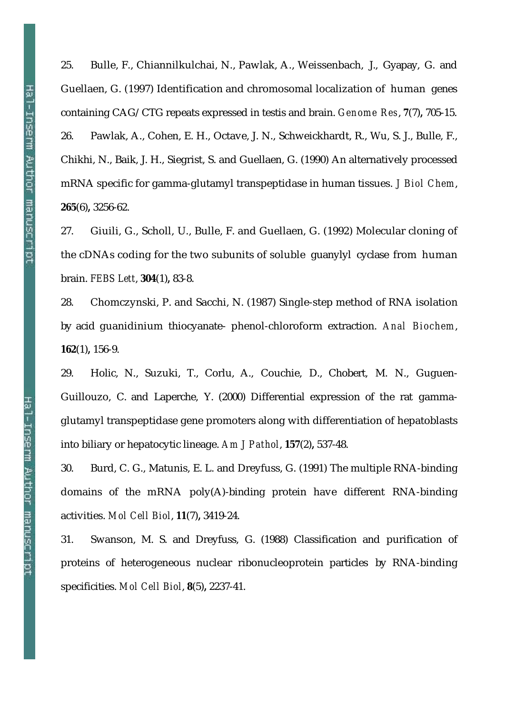25. Bulle, F., Chiannilkulchai, N., Pawlak, A., Weissenbach, J., Gyapay, G. and Guellaen, G. (1997) Identification and chromosomal localization of human genes containing CAG/CTG repeats expressed in testis and brain. *Genome Res*, **7**(7)**,** 705-15. 26. Pawlak, A., Cohen, E. H., Octave, J. N., Schweickhardt, R., Wu, S. J., Bulle, F., Chikhi, N., Baik, J. H., Siegrist, S. and Guellaen, G. (1990) An alternatively processed mRNA specific for gamma-glutamyl transpeptidase in human tissues. *J Biol Chem*, **265**(6)**,** 3256-62.

27. Giuili, G., Scholl, U., Bulle, F. and Guellaen, G. (1992) Molecular cloning of the cDNAs coding for the two subunits of soluble guanylyl cyclase from human brain. *FEBS Lett*, **304**(1)**,** 83-8.

28. Chomczynski, P. and Sacchi, N. (1987) Single-step method of RNA isolation by acid guanidinium thiocyanate- phenol-chloroform extraction. *Anal Biochem*, **162**(1)**,** 156-9.

29. Holic, N., Suzuki, T., Corlu, A., Couchie, D., Chobert, M. N., Guguen-Guillouzo, C. and Laperche, Y. (2000) Differential expression of the rat gammaglutamyl transpeptidase gene promoters along with differentiation of hepatoblasts into biliary or hepatocytic lineage. *Am J Pathol*, **157**(2)**,** 537-48.

30. Burd, C. G., Matunis, E. L. and Dreyfuss, G. (1991) The multiple RNA-binding domains of the mRNA poly(A)-binding protein have different RNA-binding activities. *Mol Cell Biol*, **11**(7)**,** 3419-24.

31. Swanson, M. S. and Dreyfuss, G. (1988) Classification and purification of proteins of heterogeneous nuclear ribonucleoprotein particles by RNA-binding specificities. *Mol Cell Biol*, **8**(5)**,** 2237-41.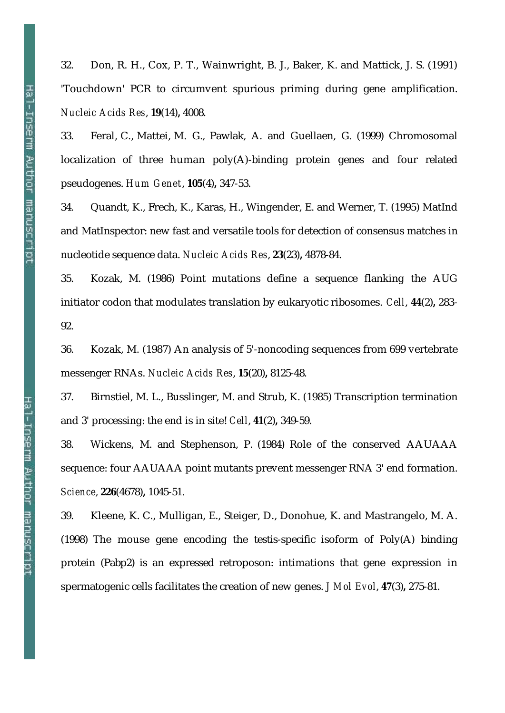32. Don, R. H., Cox, P. T., Wainwright, B. J., Baker, K. and Mattick, J. S. (1991) 'Touchdown' PCR to circumvent spurious priming during gene amplification. *Nucleic Acids Res*, **19**(14)**,** 4008.

33. Feral, C., Mattei, M. G., Pawlak, A. and Guellaen, G. (1999) Chromosomal localization of three human poly(A)-binding protein genes and four related pseudogenes. *Hum Genet*, **105**(4)**,** 347-53.

34. Quandt, K., Frech, K., Karas, H., Wingender, E. and Werner, T. (1995) MatInd and MatInspector: new fast and versatile tools for detection of consensus matches in nucleotide sequence data. *Nucleic Acids Res*, **23**(23)**,** 4878-84.

35. Kozak, M. (1986) Point mutations define a sequence flanking the AUG initiator codon that modulates translation by eukaryotic ribosomes. *Cell*, **44**(2)**,** 283- 92.

36. Kozak, M. (1987) An analysis of 5'-noncoding sequences from 699 vertebrate messenger RNAs. *Nucleic Acids Res*, **15**(20)**,** 8125-48.

37. Birnstiel, M. L., Busslinger, M. and Strub, K. (1985) Transcription termination and 3' processing: the end is in site! *Cell*, **41**(2)**,** 349-59.

38. Wickens, M. and Stephenson, P. (1984) Role of the conserved AAUAAA sequence: four AAUAAA point mutants prevent messenger RNA 3' end formation. *Science*, **226**(4678)**,** 1045-51.

39. Kleene, K. C., Mulligan, E., Steiger, D., Donohue, K. and Mastrangelo, M. A. (1998) The mouse gene encoding the testis-specific isoform of Poly(A) binding protein (Pabp2) is an expressed retroposon: intimations that gene expression in spermatogenic cells facilitates the creation of new genes. *J Mol Evol*, **47**(3)**,** 275-81.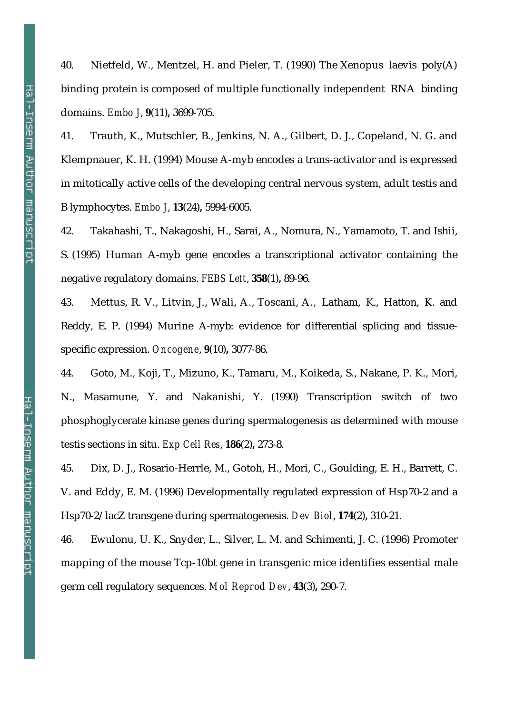40. Nietfeld, W., Mentzel, H. and Pieler, T. (1990) The Xenopus laevis poly(A) binding protein is composed of multiple functionally independent RNA binding domains. *Embo J*, **9**(11)**,** 3699-705.

41. Trauth, K., Mutschler, B., Jenkins, N. A., Gilbert, D. J., Copeland, N. G. and Klempnauer, K. H. (1994) Mouse A-myb encodes a trans-activator and is expressed in mitotically active cells of the developing central nervous system, adult testis and B lymphocytes. *Embo J*, **13**(24)**,** 5994-6005.

42. Takahashi, T., Nakagoshi, H., Sarai, A., Nomura, N., Yamamoto, T. and Ishii, S. (1995) Human A-myb gene encodes a transcriptional activator containing the negative regulatory domains. *FEBS Lett*, **358**(1)**,** 89-96.

43. Mettus, R. V., Litvin, J., Wali, A., Toscani, A., Latham, K., Hatton, K. and Reddy, E. P. (1994) Murine A-myb: evidence for differential splicing and tissuespecific expression. *Oncogene*, **9**(10)**,** 3077-86.

44. Goto, M., Koji, T., Mizuno, K., Tamaru, M., Koikeda, S., Nakane, P. K., Mori, N., Masamune, Y. and Nakanishi, Y. (1990) Transcription switch of two phosphoglycerate kinase genes during spermatogenesis as determined with mouse testis sections in situ. *Exp Cell Res*, **186**(2)**,** 273-8.

45. Dix, D. J., Rosario-Herrle, M., Gotoh, H., Mori, C., Goulding, E. H., Barrett, C. V. and Eddy, E. M. (1996) Developmentally regulated expression of Hsp70-2 and a Hsp70-2/lacZ transgene during spermatogenesis. *Dev Biol*, **174**(2)**,** 310-21.

46. Ewulonu, U. K., Snyder, L., Silver, L. M. and Schimenti, J. C. (1996) Promoter mapping of the mouse Tcp-10bt gene in transgenic mice identifies essential male germ cell regulatory sequences. *Mol Reprod Dev*, **43**(3)**,** 290-7.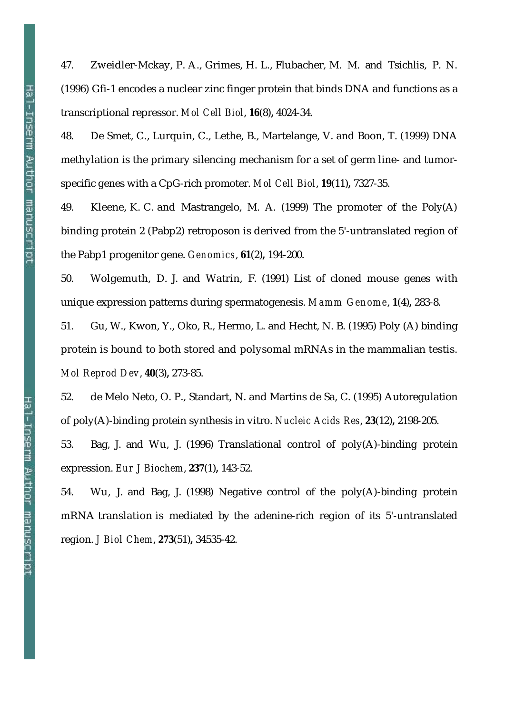47. Zweidler-Mckay, P. A., Grimes, H. L., Flubacher, M. M. and Tsichlis, P. N. (1996) Gfi-1 encodes a nuclear zinc finger protein that binds DNA and functions as a transcriptional repressor. *Mol Cell Biol*, **16**(8)**,** 4024-34.

48. De Smet, C., Lurquin, C., Lethe, B., Martelange, V. and Boon, T. (1999) DNA methylation is the primary silencing mechanism for a set of germ line- and tumorspecific genes with a CpG-rich promoter. *Mol Cell Biol*, **19**(11)**,** 7327-35.

49. Kleene, K. C. and Mastrangelo, M. A. (1999) The promoter of the Poly(A) binding protein 2 (Pabp2) retroposon is derived from the 5'-untranslated region of the Pabp1 progenitor gene. *Genomics*, **61**(2)**,** 194-200.

50. Wolgemuth, D. J. and Watrin, F. (1991) List of cloned mouse genes with unique expression patterns during spermatogenesis. *Mamm Genome*, **1**(4)**,** 283-8.

51. Gu, W., Kwon, Y., Oko, R., Hermo, L. and Hecht, N. B. (1995) Poly (A) binding protein is bound to both stored and polysomal mRNAs in the mammalian testis. *Mol Reprod Dev*, **40**(3)**,** 273-85.

52. de Melo Neto, O. P., Standart, N. and Martins de Sa, C. (1995) Autoregulation of poly(A)-binding protein synthesis in vitro. *Nucleic Acids Res*, **23**(12)**,** 2198-205.

53. Bag, J. and Wu, J. (1996) Translational control of poly(A)-binding protein expression. *Eur J Biochem*, **237**(1)**,** 143-52.

54. Wu, J. and Bag, J. (1998) Negative control of the poly(A)-binding protein mRNA translation is mediated by the adenine-rich region of its 5'-untranslated region. *J Biol Chem*, **273**(51)**,** 34535-42.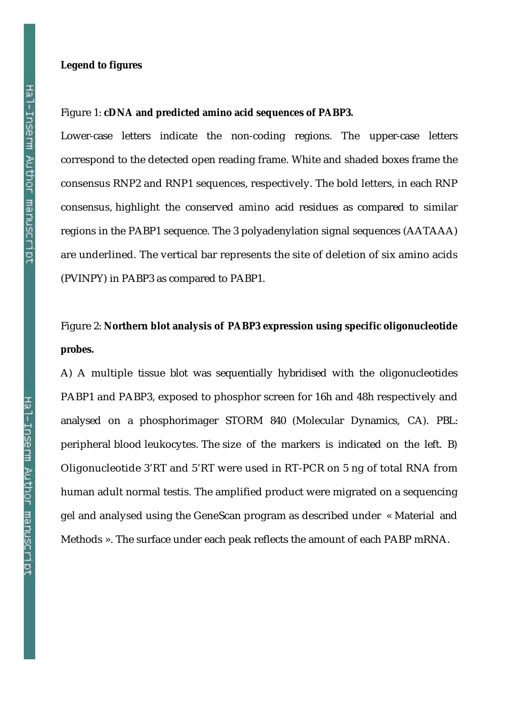#### **Legend to figures**

#### Figure 1: **cDNA and predicted amino acid sequences of PABP3.**

Lower-case letters indicate the non-coding regions. The upper-case letters correspond to the detected open reading frame. White and shaded boxes frame the consensus RNP2 and RNP1 sequences, respectively. The bold letters, in each RNP consensus, highlight the conserved amino acid residues as compared to similar regions in the PABP1 sequence. The 3 polyadenylation signal sequences (AATAAA) are underlined. The vertical bar represents the site of deletion of six amino acids (PVINPY) in PABP3 as compared to PABP1.

# Figure 2: **Northern blot analysis of PABP3 expression using specific oligonucleotide probes.**

A) A multiple tissue blot was sequentially hybridised with the oligonucleotides PABP1 and PABP3, exposed to phosphor screen for 16h and 48h respectively and analysed on a phosphorimager STORM 840 (Molecular Dynamics, CA). PBL: peripheral blood leukocytes. The size of the markers is indicated on the left. B) Oligonucleotide 3'RT and 5'RT were used in RT-PCR on 5 ng of total RNA from human adult normal testis. The amplified product were migrated on a sequencing gel and analysed using the GeneScan program as described under « Material and Methods ». The surface under each peak reflects the amount of each PABP mRNA.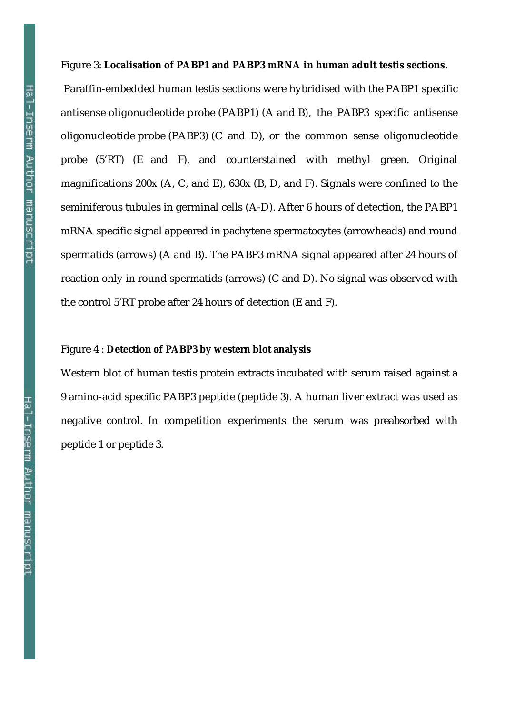#### Figure 3: **Localisation of PABP1 and PABP3 mRNA in human adult testis sections**.

 Paraffin-embedded human testis sections were hybridised with the PABP1 specific antisense oligonucleotide probe (PABP1) (A and B), the PABP3 specific antisense oligonucleotide probe (PABP3) (C and D), or the common sense oligonucleotide probe (5'RT) (E and F), and counterstained with methyl green. Original magnifications 200x (A, C, and E), 630x (B, D, and F). Signals were confined to the seminiferous tubules in germinal cells (A-D). After 6 hours of detection, the PABP1 mRNA specific signal appeared in pachytene spermatocytes (arrowheads) and round spermatids (arrows) (A and B). The PABP3 mRNA signal appeared after 24 hours of reaction only in round spermatids (arrows) (C and D). No signal was observed with the control 5'RT probe after 24 hours of detection (E and F).

#### Figure 4 : **Detection of PABP3 by western blot analysis**

Western blot of human testis protein extracts incubated with serum raised against a 9 amino-acid specific PABP3 peptide (peptide 3). A human liver extract was used as negative control. In competition experiments the serum was preabsorbed with peptide 1 or peptide 3.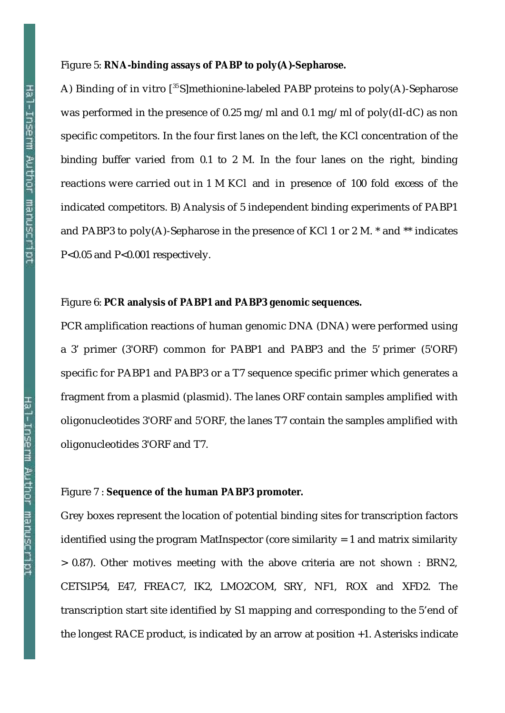#### Figure 5: **RNA-binding assays of PABP to poly(A)-Sepharose.**

A) Binding of in vitro  $\binom{35}{5}$  methionine-labeled PABP proteins to poly(A)-Sepharose was performed in the presence of 0.25 mg/ml and 0.1 mg/ml of poly(dI-dC) as non specific competitors. In the four first lanes on the left, the KCl concentration of the binding buffer varied from 0.1 to 2 M. In the four lanes on the right, binding reactions were carried out in 1 M KCl and in presence of 100 fold excess of the indicated competitors. B) Analysis of 5 independent binding experiments of PABP1 and PABP3 to poly(A)-Sepharose in the presence of KCl 1 or 2 M. \* and \*\* indicates P<0.05 and P<0.001 respectively.

#### Figure 6: **PCR analysis of PABP1 and PABP3 genomic sequences.**

PCR amplification reactions of human genomic DNA (DNA) were performed using a 3' primer (3'ORF) common for PABP1 and PABP3 and the 5' primer (5'ORF) specific for PABP1 and PABP3 or a T7 sequence specific primer which generates a fragment from a plasmid (plasmid). The lanes ORF contain samples amplified with oligonucleotides 3'ORF and 5'ORF, the lanes T7 contain the samples amplified with oligonucleotides 3'ORF and T7.

#### Figure 7 : **Sequence of the human PABP3 promoter.**

Grey boxes represent the location of potential binding sites for transcription factors identified using the program MatInspector (core similarity = 1 and matrix similarity > 0.87). Other motives meeting with the above criteria are not shown : BRN2, CETS1P54, E47, FREAC7, IK2, LMO2COM, SRY, NF1, ROX and XFD2. The transcription start site identified by S1 mapping and corresponding to the 5'end of the longest RACE product, is indicated by an arrow at position +1. Asterisks indicate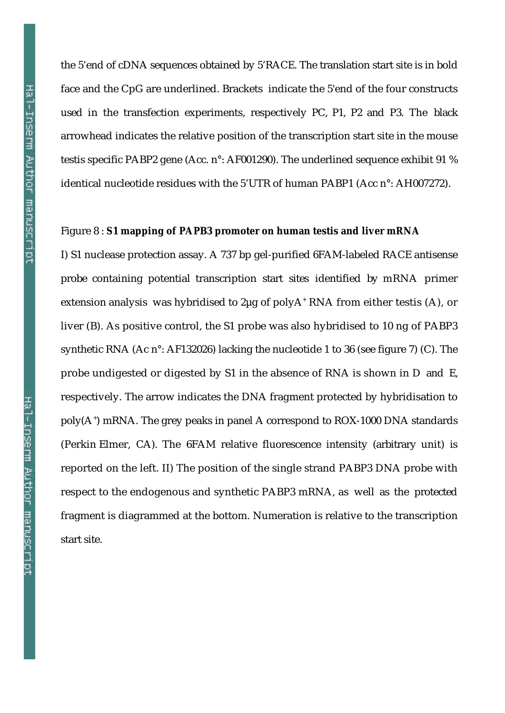the 5'end of cDNA sequences obtained by 5'RACE. The translation start site is in bold face and the CpG are underlined. Brackets indicate the 5'end of the four constructs used in the transfection experiments, respectively PC, P1, P2 and P3. The black arrowhead indicates the relative position of the transcription start site in the mouse testis specific PABP2 gene (Acc. n°: AF001290). The underlined sequence exhibit 91 % identical nucleotide residues with the 5'UTR of human PABP1 (Acc n°: AH007272).

#### Figure 8 : **S1 mapping of PAPB3 promoter on human testis and liver mRNA**

I) S1 nuclease protection assay. A 737 bp gel-purified 6FAM-labeled RACE antisense probe containing potential transcription start sites identified by mRNA primer extension analysis was hybridised to 2μg of polyA<sup>+</sup> RNA from either testis (A), or liver (B). As positive control, the S1 probe was also hybridised to 10 ng of PABP3 synthetic RNA (Ac n°: AF132026) lacking the nucleotide 1 to 36 (see figure 7) (C). The probe undigested or digested by S1 in the absence of RNA is shown in D and E, respectively. The arrow indicates the DNA fragment protected by hybridisation to poly(A<sup>+</sup> ) mRNA. The grey peaks in panel A correspond to ROX-1000 DNA standards (Perkin Elmer, CA). The 6FAM relative fluorescence intensity (arbitrary unit) is reported on the left. II) The position of the single strand PABP3 DNA probe with respect to the endogenous and synthetic PABP3 mRNA, as well as the protected fragment is diagrammed at the bottom. Numeration is relative to the transcription start site.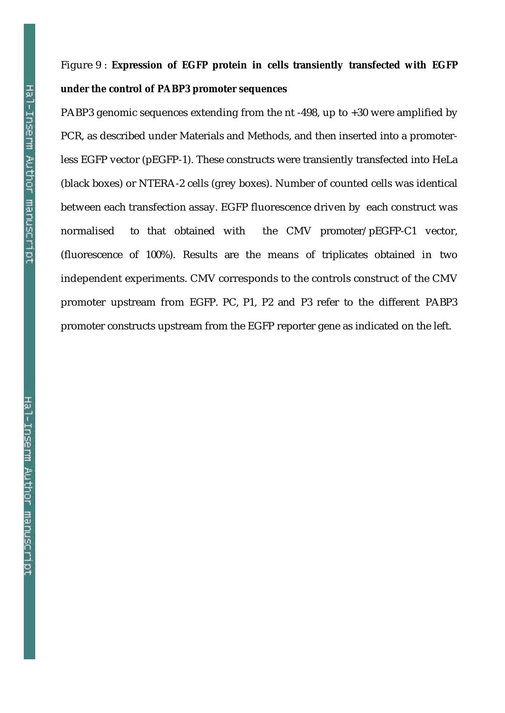# Figure 9 : **Expression of EGFP protein in cells transiently transfected with EGFP under the control of PABP3 promoter sequences**

PABP3 genomic sequences extending from the nt -498, up to +30 were amplified by PCR, as described under Materials and Methods, and then inserted into a promoterless EGFP vector (pEGFP-1). These constructs were transiently transfected into HeLa (black boxes) or NTERA-2 cells (grey boxes). Number of counted cells was identical between each transfection assay. EGFP fluorescence driven by each construct was normalised to that obtained with the CMV promoter/pEGFP-C1 vector, (fluorescence of 100%). Results are the means of triplicates obtained in two independent experiments. CMV corresponds to the controls construct of the CMV promoter upstream from EGFP. PC, P1, P2 and P3 refer to the different PABP3 promoter constructs upstream from the EGFP reporter gene as indicated on the left.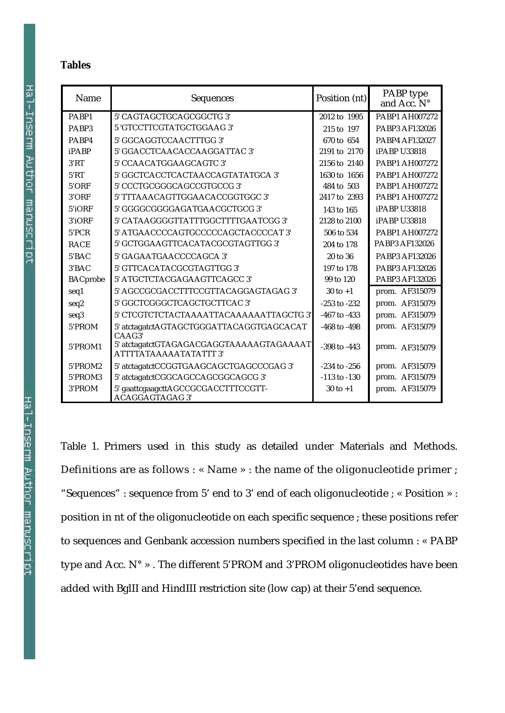#### **Tables**

| Name            | <b>Sequences</b>                                                          | Position (nt)    | PABP type<br>and Acc. N° |
|-----------------|---------------------------------------------------------------------------|------------------|--------------------------|
| PARP1           | 5' CAGTAGCTGCAGCGGCTG 3'                                                  | 2012 to 1995     | <b>PABP1 AH007272</b>    |
| PABP3           | 5 'GTCCTTCGTATGCTGGAAG 3'                                                 | 215 to 197       | <b>PABP3 AF132026</b>    |
| PABP4           | 5' GGCAGGTCCAACTTTGG 3'                                                   | 670 to 654       | <b>PABP4 AF132027</b>    |
| iPABP           | 5' GGACCTCAACACCAAGGATTAC 3'                                              | 2191 to 2170     | <b>iPABP U33818</b>      |
| 3'RT            | 5' CCAACATGGAAGCAGTC 3'                                                   | 2156 to 2140     | PABP1 AH007272           |
| 5'RT            | 5' GGCTCACCTCACTAACCAGTATATGCA 3'                                         | 1630 to 1656     | <b>PABP1 AH007272</b>    |
| 5'ORF           | 5' CCCTGCGGGCAGCCGTGCCG 3'                                                | 484 to 503       | PABP1 AH007272           |
| 3'ORF           | 5' TTTAAACAGTTGGAACACCGGTGGC 3'                                           | 2417 to 2393     | <b>PABP1 AH007272</b>    |
| 5'iORF          | 5' GGGGCGGGGAGATGAACGCTGCG 3'                                             | 143 to 165       | <b>iPABP U33818</b>      |
| 3'iORF          | 5' CATAAGGGGTTATTTGGCTTTTGAATCGG 3'                                       | 2128 to 2100     | <b>iPABP U33818</b>      |
| 5'PCR           | 5' ATGAACCCCAGTGCCCCCAGCTACCCCAT 3'                                       | 506 to 534       | <b>PABP1 AH007272</b>    |
| <b>RACE</b>     | 5' GCTGGAAGTTCACATACGCGTAGTTGG 3'                                         | 204 to 178       | PABP3 AF132026           |
| 5'BAC           | 5' GAGAATGAACCCCAGCA 3'                                                   | 20 to 36         | <b>PABP3 AF132026</b>    |
| 3'BAC           | 5' GTTCACATACGCGTAGTTGG 3'                                                | 197 to 178       | <b>PABP3 AF132026</b>    |
| <b>BACprobe</b> | 5' ATGCTCTACGAGAAGTTCAGCC 3'                                              | 99 to 120        | <b>PABP3 AF132026</b>    |
| seq1            | 5' AGCCGCGACCTTTCCGTTACAGGAGTAGAG 3'                                      | $30$ to $+1$     | prom. AF315079           |
| seq2            | 5' GGCTCGGGCTCAGCTGCTTCAC 3'                                              | $-253$ to $-232$ | prom. AF315079           |
| seq3            | 5' CTCGTCTCTACTAAAATTACAAAAAATTAGCTG 3'                                   | $-467$ to $-433$ | prom. AF315079           |
| 5'PROM          | 5' atctagatctAGTAGCTGGGATTACAGGTGAGCACAT<br>CAAG3'                        | -468 to -498     | prom. AF315079           |
| 5'PROM1         | 5' atctagatctGTAGAGACGAGGTAAAAAGTAGAAAAT<br><b>ATTTTATAAAAATATATTT 3'</b> | $-398$ to $-443$ | prom. AF315079           |
| 5'PROM2         | 5' atctagatctCCGGTGAAGCAGCTGAGCCCGAG 3'                                   | $-234$ to $-256$ | prom. AF315079           |
| 5'PROM3         | 5' atctagatctCGGCAGCCAGCGGCAGCG 3'                                        | $-113$ to $-130$ | prom. AF315079           |
| 3'PROM          | 5' gaattcgaagcttAGCCGCGACCTTTCCGTT-<br><b>ACAGGAGTAGAG 3'</b>             | $30$ to $+1$     | prom. AF315079           |

Table 1. Primers used in this study as detailed under Materials and Methods. Definitions are as follows : « Name » : the name of the oligonucleotide primer ; "Sequences" : sequence from 5' end to 3' end of each oligonucleotide ; « Position » : position in nt of the oligonucleotide on each specific sequence ; these positions refer to sequences and Genbank accession numbers specified in the last column : « PABP type and Acc. N° » . The different 5'PROM and 3'PROM oligonucleotides have been added with BglII and HindIII restriction site (low cap) at their 5'end sequence.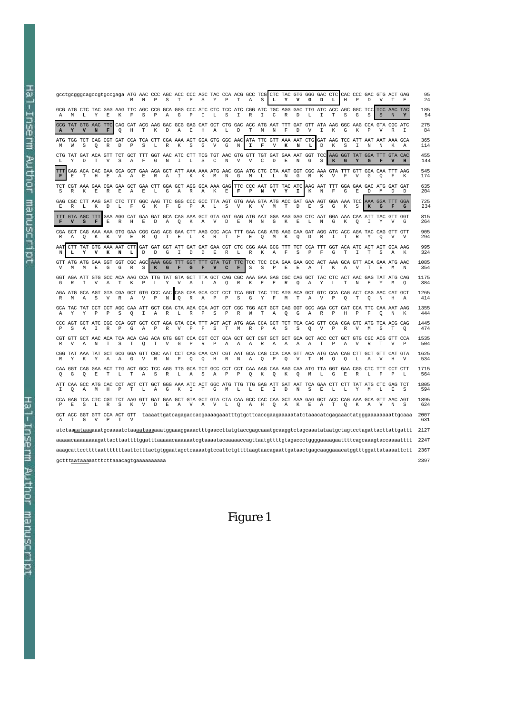gcctgcgggcagccgtgccgaga ATG AAC CCC AGC ACC CCC AGC TAC CCA ACG GCC TCG CTC TAC GTG GGG GAC CTC CAC CCC GAC GTG ACT GAG<br>M N P S T P S Y P T A S **L Y V G D L** H P D V T E 24 GCG ATG CTC TAC GAG AAG TTC AGC CCG GCA GGG CCC ATC CTC TCC ATC CGG ATC TGC AGG GAC TTG ATC ACC AGC GGC TCC TCC AAC TAC 185 A M L Y E K F S P A G P I L S I R I C R D L I T S G S S N **Y** 54 GCG TAT GTG AAC TTC CAG CAT ACG AAG GAC GCG GAG CAT GCT CTG GAC ACC ATG AAT TTT GAT GTT ATA AAG GGC AAG CCA GTA CGC ATC 275 **A Y V N F** Q H T K D A E H A L D T M N F D V I K G K P V R I 84 ATG TGG TCT CAG CGT GAT CCA TCA CTT CGA AAA AGT GGA GTG GGC AAC ATA TTC GTT AAA AAT CTG GAT AAG TCC ATT AAT AAT AAA GCA 365 M W S Q R D P S L R K S G V G N **I F** V **K N L** D K S I N N K A 114 CTG TAT GAT ACA GTT TCT GCT TTT GGT AAC ATC CTT TCG TGT AAC GTG GTT TGT GAT GAA AAT GGT TCC AAG GGT TAT GGA TTT GTA CAC 455 L Y D T V S A F G N I L S C N V V C D E N G S **K G Y G F V H** 144 TTT GAG ACA CAC GAA GCA GCT GAA AGA GCT ATT AAA AAA ATG AAC GGA ATG CTC CTA AAT GGT CGC AAA GTA TTT GTT GGA CAA TTT AAG 545 **F** E T H E A A E R A I K K M N G M L L N G R K V F V G Q F K 174 TCT CGT AAA GAA CGA GAA GCT GAA CTT GGA GCT AGG GCA AAA GAG TTC CCC AAT GTT TAC ATC AAG AAT TTT GGA GAA GAC ATG GAT GAT 635 S R K E R E A E L G A R A K E **F** P **N V Y I** K N F G E D M D D 204 GAG CGC CTT AAG GAT CTC TTT GGC AAG TTC GGG CCC GCC TTA AGT GTG AAA GTA ATG ACC GAT GAA AGT GGA AAA TCC AAA GGA TTT GGA 725 E R L K D L F G K F G P A L S V K V M T D E S G K S **K G F G** 234 TTT GTA AGC TTT GAA AGG CAT GAA GAT GCA CAG AAA GCT GTA GAT GAG ATG AAT GGA AAG GAG CTC AAT GGA AAA CAA ATT TAC GTT GGT 815 **F V S F** E R H E D A Q K A V D E M N G K E L N G K Q I Y V G 264 CGA GCT CAG AAA AAA GTG GAA CGG CAG ACG GAA CTT AAG CGC ACA TTT GAA CAG ATG AAG CAA GAT AGG ATC ACC AGA TAC CAG GTT GTT 905 R A Q K K V E R Q T E L K R T F E Q M K Q D R I T R Y Q V V 294 AAT CTT TAT GTG AAA AAT CTT GAT GAT GGT ATT GAT GAT GAA CGT CTC CGG AAA GCG TTT TCT CCA TTT GGT ACA ATC ACT AGT GCA AAG 995 N **L Y V K N L** D D G I D D E R L R K A F S P F G T I T S A K 324 GTT ATG ATG GAA GGT GGT CGC AGC AAA GGG TTT GGT TTT GTA TGT TTC TCC TCC CCA GAA GAA GCC ACT AAA GCA GTT ACA GAA ATG AAC 1085 V M M E G G R S **K G F G F V C F** S S P E E A T K A V T E M N 354 GGT AGA ATT GTG GCC ACA AAG CCA TTG TAT GTA GCT TTA GCT CAG CGC AAA GAA GAG CGC CAG GCT TAC CTC ACT AAC GAG TAT ATG CAG 1175 G R I V A T K P L Y V A L A Q R K E E R Q A Y L T N E Y M Q 384 AGA ATG GCA AGT GTA CGA GCT GTG CCC AAC CAG CGA GCA CCT CCT TCA GGT TAC TTC ATG ACA GCT GTC CCA CAG ACT CAG AAC CAT GCT 1265 R M A S V R A V P N Q R A P P S G Y F M T A V P Q T Q N H A 414 GCA TAC TAT CCT CCT AGC CAA ATT GCT CGA CTA AGA CCA AGT CCT CGC TGG ACT GCT CAG GGT GCC AGA CCT CAT CCA TTC CAA AAT AAG 1355 A Y Y P P S Q I A R L R P S P R W T A Q G A R P H P F Q N K 444 CCC AGT GCT ATC CGC CCA GGT GCT CCT AGA GTA CCA TTT AGT ACT ATG AGA CCA GCT TCT TCA CAG GTT CCA CGA GTC ATG TCA ACG CAG 1445 P S A I R P G A P R V P F S T M R P A S S Q V P R V M S T Q 474 CGT GTT GCT AAC ACA TCA ACA CAG ACA GTG GGT CCA CGT CCT GCA GCT GCT CGT GCT GCT GCA GCT ACC CCT GCT GTG CGC ACG GTT CCA 1535 R V A N T S T Q T V G P R P A A A R A A A A T P A V R T V P 504 CGG TAT AAA TAT GCT GCG GGA GTT CGC AAT CCT CAG CAA CAT CGT AAT GCA CAG CCA CAA GTT ACA ATG CAA CAG CTT GCT GTT CAT GTA 1625 R Y K Y A A G V R N P Q Q H R N A Q P Q V T M Q Q L A V H V 534 CAA GGT CAG GAA ACT TTG ACT GCC TCC AGG TTG GCA TCT GCC CCT CCT CAA AAG CAA AAG CAA ATG TTA GGT GAA CGG CTC TTT CCT CTT 1715 Q G Q E T L T A S R L A S A P P Q K Q K Q M L G E R L F P L 564 ATT CAA GCC ATG CAC CCT ACT CTT GCT GGG AAA ATC ACT GGC ATG TTG TTG GAG ATT GAT AAT TCA GAA CTT CTT TAT ATG CTC GAG TCT 1805 I Q A M H P T L A G K I T G M L L E I D N S E L L Y M L E S 594 CCA GAG TCA CTC CGT TCT AAG GTT GAT GAA GCT GTA GCT GTA CTA CAA GCC CAC CAA GCT AAA GAG GCT ACC CAG AAA GCA GTT AAC AGT 1895 P E S L R S K V D E A V A V L Q A H Q A K E A T Q K A V N S 624 GCT ACC GGT GTT CCA ACT GTT taaaattgatcagagaccacgaaaagaaatttgtgcttcaccgaagaaaaatatctaaacatcgagaaactatgggaaaaaaaattgcaaa 2007  $\begin{array}{ccccccccc}\n\text{GCT} & \text{ACC} & \text{GGT} & \text{GTT} & \text{CCA} & \text{ACT} & \text{GTT} \\
\text{A} & \text{T} & \text{G} & \text{V} & \text{P} & \text{T} & \text{V}\n\end{array}$ atctaaaataaaaaatgcaaaatctaa<u>aataaa</u>aaatggaaaggaaactttgaaccttatgtaccgagcaaatgcaaggtctagcaaatataatgctagtcctagattacttattgattt 2127 aaaaacaaaaaaaagattacttaattttggatttaaaaacaaaaaatcgtaaaatacaaaaaccagttaatgttttgtagaccctggggaaaagaattttcagcaaagtaccaaaatttt 2247 aaagcattccttttaatttttttaattctttactgtggaatagctcaaaatgtccattctgttttaagtaacagaattgataactgagcaaggaaacatggtttggattataaaattctt 2367 gctttaataaaaatttcttaaacagtgaaaaaaaaaa 2397

## Figure 1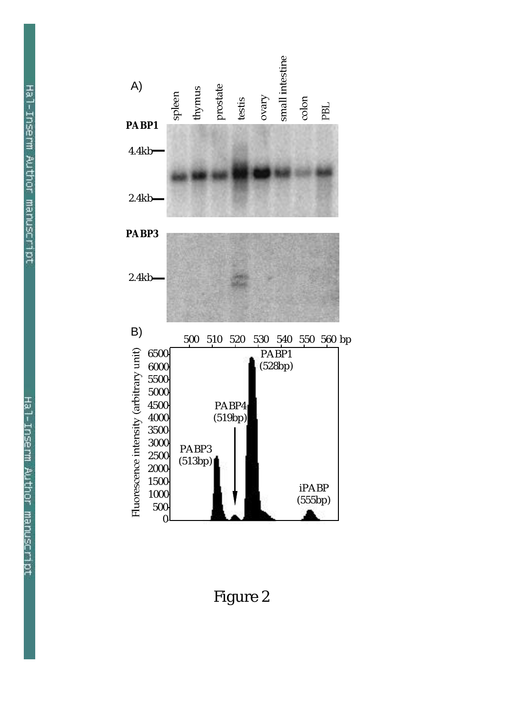

Figure 2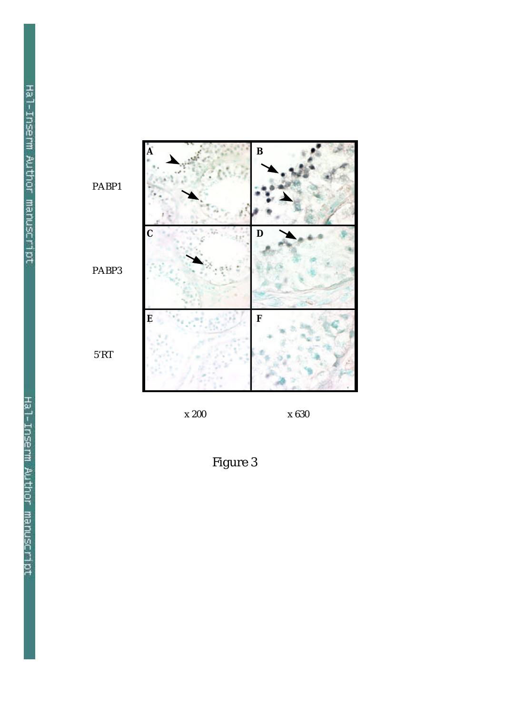

Figure 3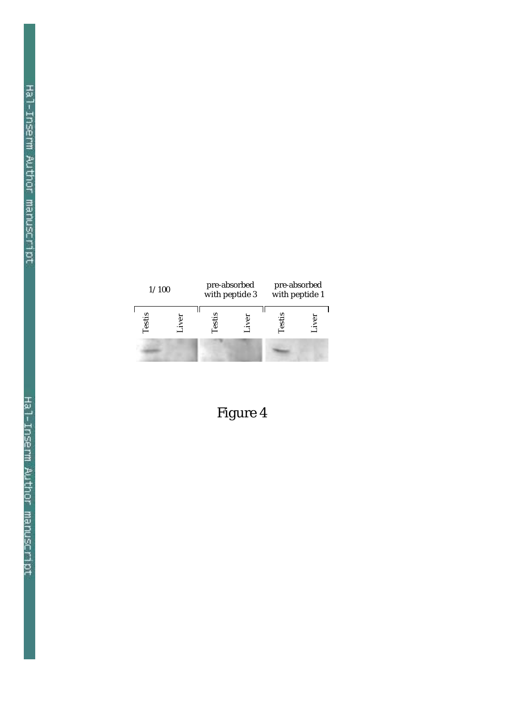| 1/100 |  | pre-absorbed<br>with peptide 3 |  | pre-absorbed<br>with peptide 1 |  |
|-------|--|--------------------------------|--|--------------------------------|--|
| esti  |  |                                |  | ट्ट                            |  |
|       |  |                                |  |                                |  |

Figure 4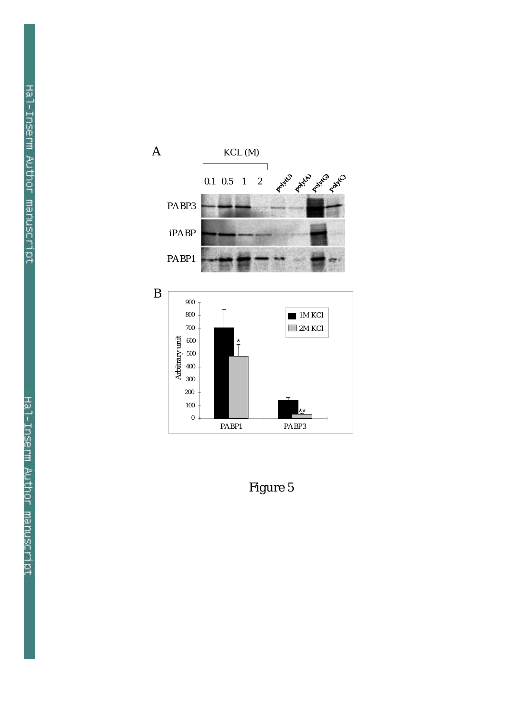

Figure 5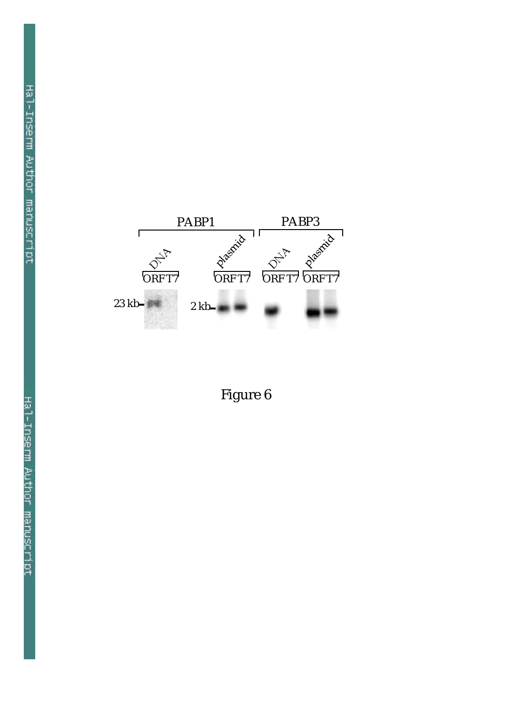

Figure 6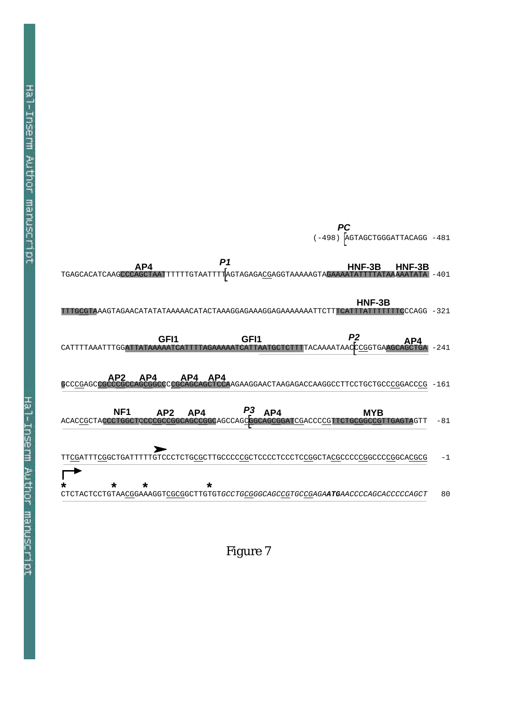

Figure 7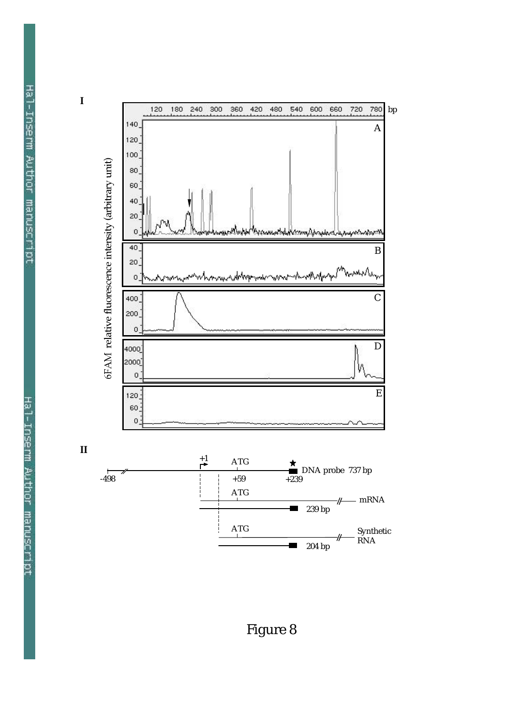

Figure 8